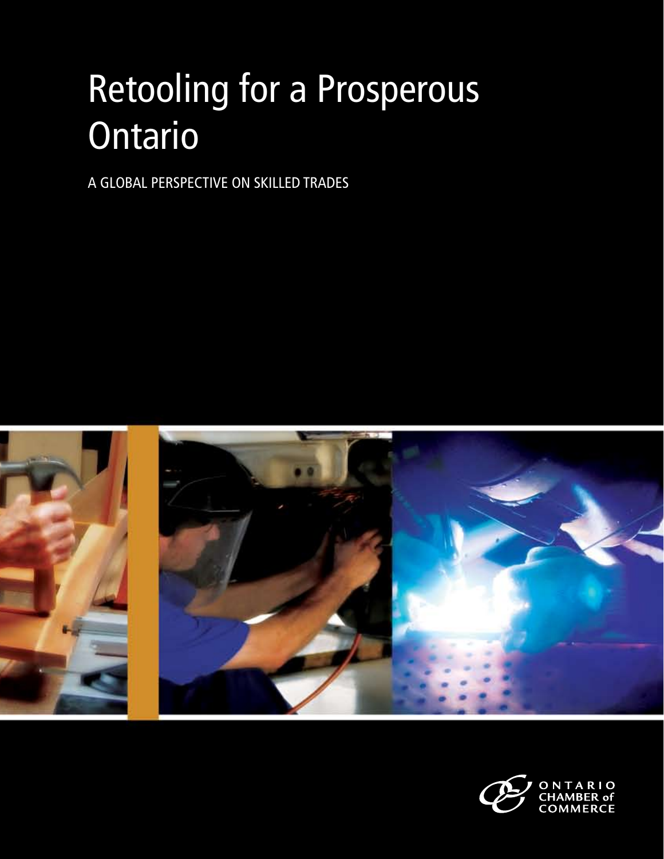# Retooling for a Prosperous Ontario

A Global Perspective on Skilled Trades



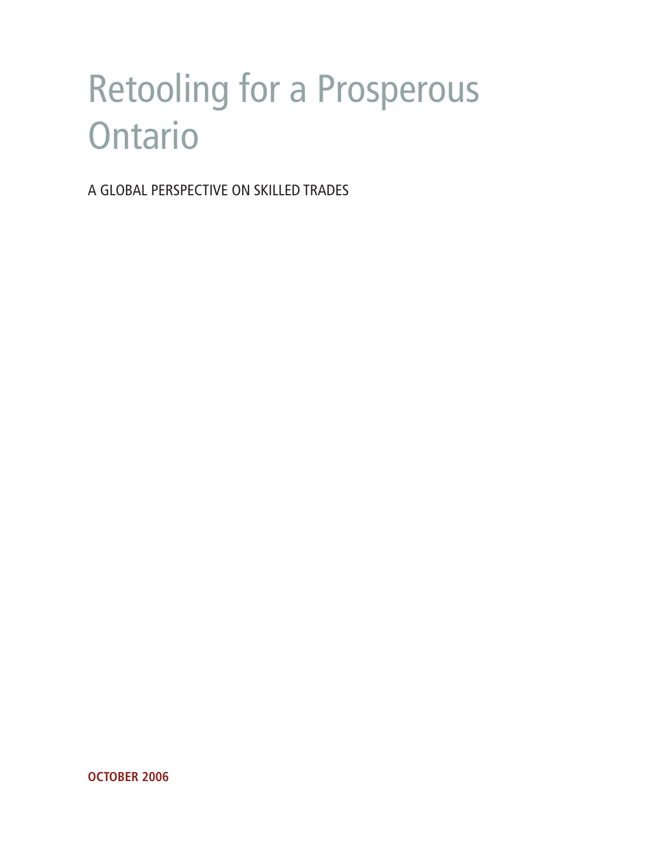## Retooling for a Prosperous **Ontario**

A Global Perspective on Skilled Trades

**October 2006**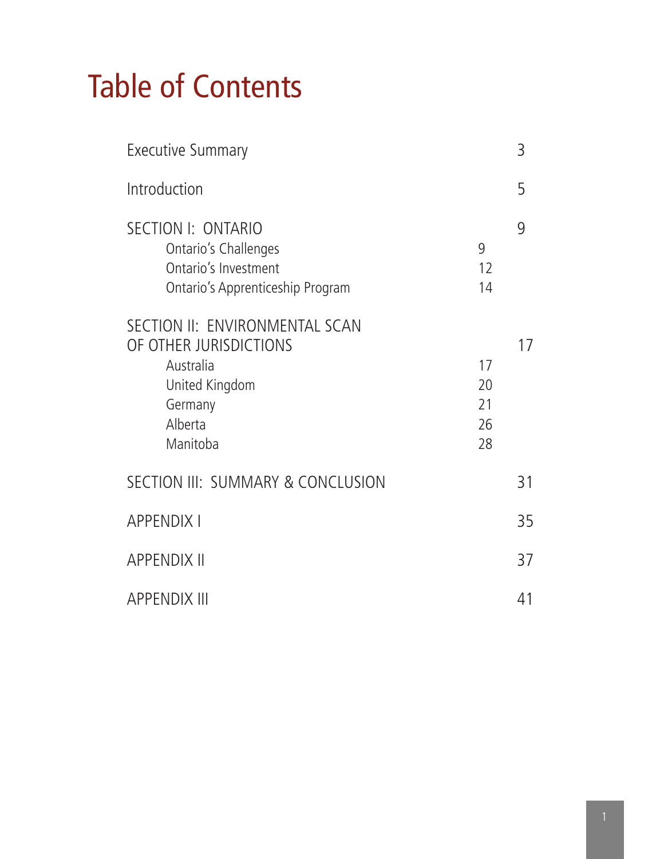## Table of Contents

| <b>Executive Summary</b>                                                                                                  |                            |    |  |  |
|---------------------------------------------------------------------------------------------------------------------------|----------------------------|----|--|--|
| Introduction                                                                                                              |                            | 5  |  |  |
| SECTION I: ONTARIO<br>Ontario's Challenges<br>Ontario's Investment<br>Ontario's Apprenticeship Program                    | 9<br>12<br>14              | 9  |  |  |
| SECTION II: ENVIRONMENTAL SCAN<br>OF OTHER JURISDICTIONS<br>Australia<br>United Kingdom<br>Germany<br>Alberta<br>Manitoba | 17<br>20<br>21<br>26<br>28 | 17 |  |  |
| SECTION III: SUMMARY & CONCLUSION                                                                                         |                            | 31 |  |  |
| <b>APPENDIX I</b>                                                                                                         |                            | 35 |  |  |
| <b>APPENDIX II</b>                                                                                                        |                            | 37 |  |  |
| <b>APPENDIX III</b>                                                                                                       |                            | 41 |  |  |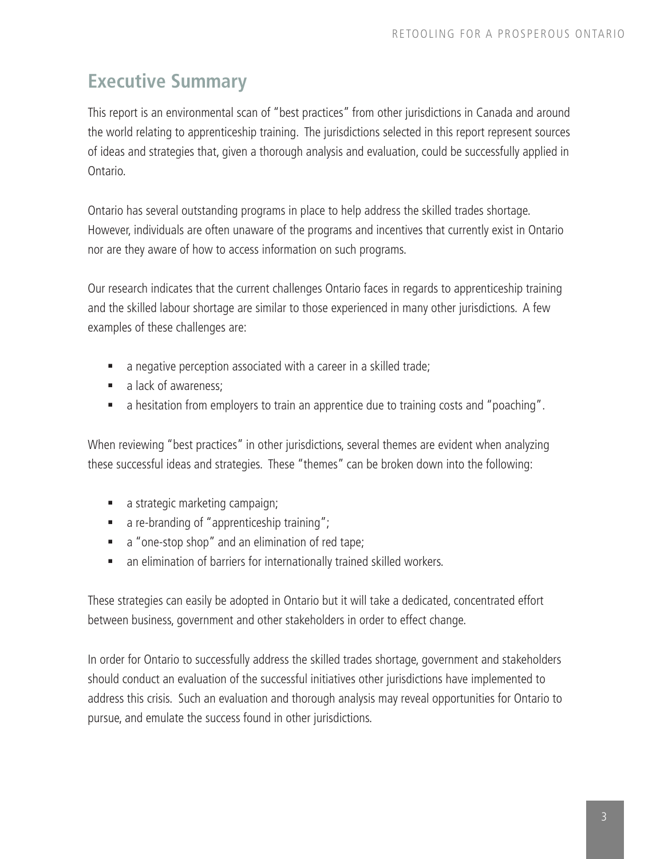### **Executive Summary**

This report is an environmental scan of "best practices" from other jurisdictions in Canada and around the world relating to apprenticeship training. The jurisdictions selected in this report represent sources of ideas and strategies that, given a thorough analysis and evaluation, could be successfully applied in Ontario.

Ontario has several outstanding programs in place to help address the skilled trades shortage. However, individuals are often unaware of the programs and incentives that currently exist in Ontario nor are they aware of how to access information on such programs.

Our research indicates that the current challenges Ontario faces in regards to apprenticeship training and the skilled labour shortage are similar to those experienced in many other jurisdictions. A few examples of these challenges are:

- a negative perception associated with a career in a skilled trade;
- a lack of awareness:
- a hesitation from employers to train an apprentice due to training costs and "poaching".

When reviewing "best practices" in other jurisdictions, several themes are evident when analyzing these successful ideas and strategies. These "themes" can be broken down into the following:

- a strategic marketing campaign;
- **a** re-branding of "apprenticeship training";
- a "one-stop shop" and an elimination of red tape;
- an elimination of barriers for internationally trained skilled workers.

These strategies can easily be adopted in Ontario but it will take a dedicated, concentrated effort between business, government and other stakeholders in order to effect change.

In order for Ontario to successfully address the skilled trades shortage, government and stakeholders should conduct an evaluation of the successful initiatives other jurisdictions have implemented to address this crisis. Such an evaluation and thorough analysis may reveal opportunities for Ontario to pursue, and emulate the success found in other jurisdictions.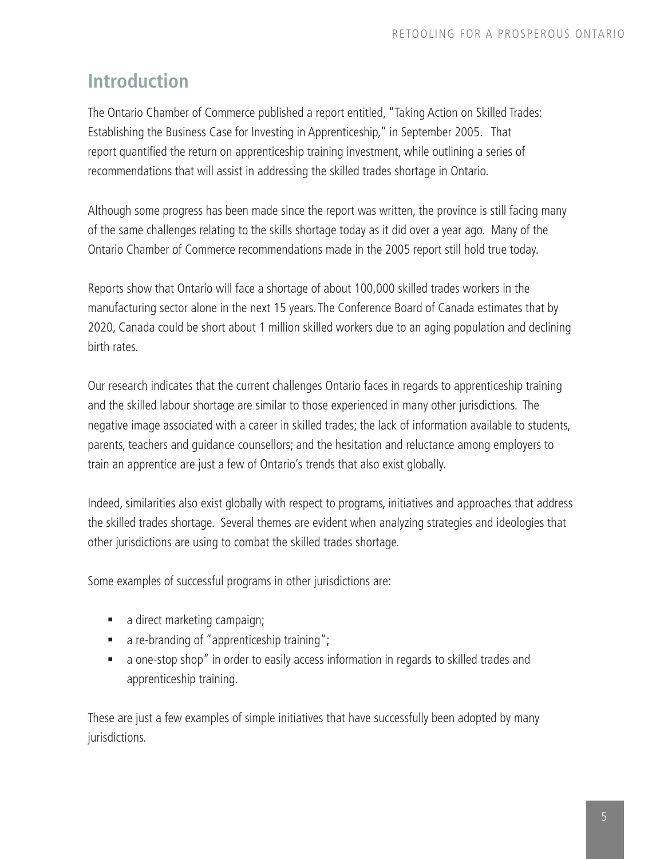### **Introduction**

The Ontario Chamber of Commerce published a report entitled, "Taking Action on Skilled Trades: Establishing the Business Case for Investing in Apprenticeship," in September 2005. That report quantified the return on apprenticeship training investment, while outlining a series of recommendations that will assist in addressing the skilled trades shortage in Ontario.

Although some progress has been made since the report was written, the province is still facing many of the same challenges relating to the skills shortage today as it did over a year ago. Many of the Ontario Chamber of Commerce recommendations made in the 2005 report still hold true today.

Reports show that Ontario will face a shortage of about 100,000 skilled trades workers in the manufacturing sector alone in the next 15 years. The Conference Board of Canada estimates that by 2020, Canada could be short about 1 million skilled workers due to an aging population and declining birth rates.

Our research indicates that the current challenges Ontario faces in regards to apprenticeship training and the skilled labour shortage are similar to those experienced in many other jurisdictions. The negative image associated with a career in skilled trades; the lack of information available to students, parents, teachers and guidance counsellors; and the hesitation and reluctance among employers to train an apprentice are just a few of Ontario's trends that also exist globally.

Indeed, similarities also exist globally with respect to programs, initiatives and approaches that address the skilled trades shortage. Several themes are evident when analyzing strategies and ideologies that other jurisdictions are using to combat the skilled trades shortage.

Some examples of successful programs in other jurisdictions are:

- a direct marketing campaign;
- a re-branding of "apprenticeship training";
- a one-stop shop" in order to easily access information in regards to skilled trades and apprenticeship training.

These are just a few examples of simple initiatives that have successfully been adopted by many jurisdictions.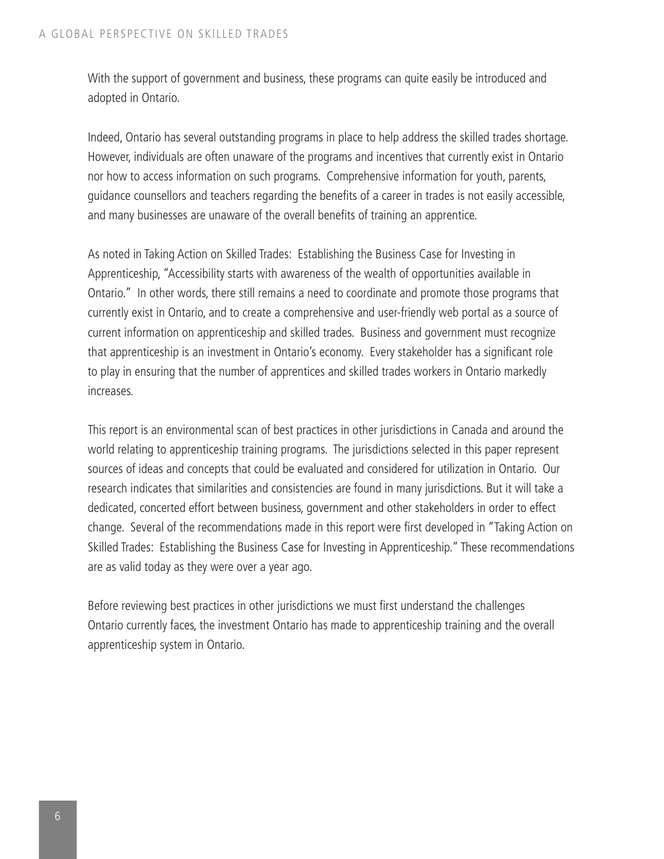With the support of government and business, these programs can quite easily be introduced and adopted in Ontario.

Indeed, Ontario has several outstanding programs in place to help address the skilled trades shortage. However, individuals are often unaware of the programs and incentives that currently exist in Ontario nor how to access information on such programs. Comprehensive information for youth, parents, guidance counsellors and teachers regarding the benefits of a career in trades is not easily accessible, and many businesses are unaware of the overall benefits of training an apprentice.

As noted in Taking Action on Skilled Trades: Establishing the Business Case for Investing in Apprenticeship, "Accessibility starts with awareness of the wealth of opportunities available in Ontario." In other words, there still remains a need to coordinate and promote those programs that currently exist in Ontario, and to create a comprehensive and user-friendly web portal as a source of current information on apprenticeship and skilled trades. Business and government must recognize that apprenticeship is an investment in Ontario's economy. Every stakeholder has a significant role to play in ensuring that the number of apprentices and skilled trades workers in Ontario markedly increases.

This report is an environmental scan of best practices in other jurisdictions in Canada and around the world relating to apprenticeship training programs. The jurisdictions selected in this paper represent sources of ideas and concepts that could be evaluated and considered for utilization in Ontario. Our research indicates that similarities and consistencies are found in many jurisdictions. But it will take a dedicated, concerted effort between business, government and other stakeholders in order to effect change. Several of the recommendations made in this report were first developed in "Taking Action on Skilled Trades: Establishing the Business Case for Investing in Apprenticeship." These recommendations are as valid today as they were over a year ago.

Before reviewing best practices in other jurisdictions we must first understand the challenges Ontario currently faces, the investment Ontario has made to apprenticeship training and the overall apprenticeship system in Ontario.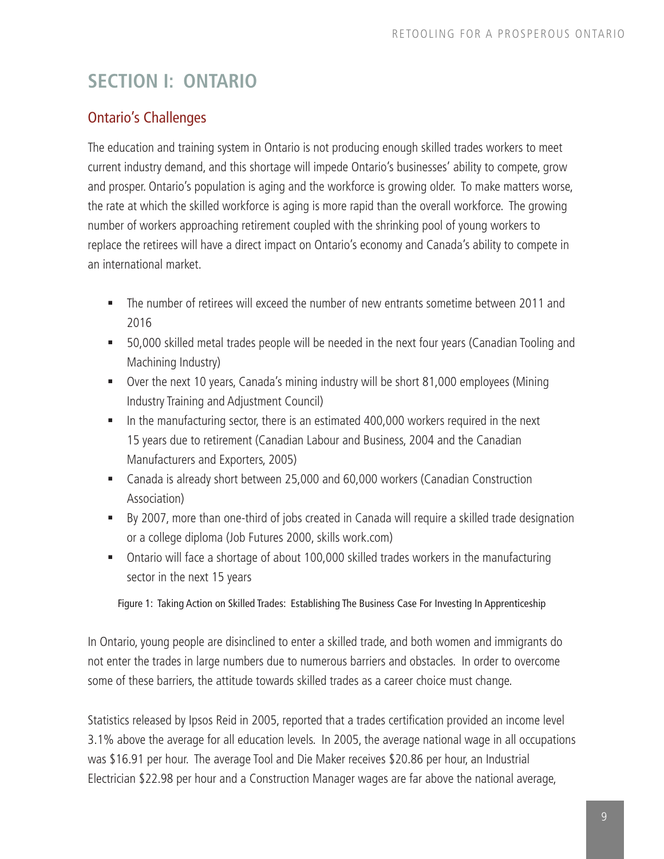### **SECTION I: ONTARIO**

### Ontario's Challenges

The education and training system in Ontario is not producing enough skilled trades workers to meet current industry demand, and this shortage will impede Ontario's businesses' ability to compete, grow and prosper. Ontario's population is aging and the workforce is growing older. To make matters worse, the rate at which the skilled workforce is aging is more rapid than the overall workforce. The growing number of workers approaching retirement coupled with the shrinking pool of young workers to replace the retirees will have a direct impact on Ontario's economy and Canada's ability to compete in an international market.

- The number of retirees will exceed the number of new entrants sometime between 2011 and 2016
- 50,000 skilled metal trades people will be needed in the next four years (Canadian Tooling and Machining Industry)
- Over the next 10 years, Canada's mining industry will be short 81,000 employees (Mining Industry Training and Adjustment Council)
- In the manufacturing sector, there is an estimated 400,000 workers required in the next 15 years due to retirement (Canadian Labour and Business, 2004 and the Canadian Manufacturers and Exporters, 2005)
- Canada is already short between 25,000 and 60,000 workers (Canadian Construction Association)
- By 2007, more than one-third of jobs created in Canada will require a skilled trade designation or a college diploma (Job Futures 2000, skills work.com)
- Ontario will face a shortage of about 100,000 skilled trades workers in the manufacturing sector in the next 15 years

Figure 1: Taking Action on Skilled Trades: Establishing The Business Case For Investing In Apprenticeship

In Ontario, young people are disinclined to enter a skilled trade, and both women and immigrants do not enter the trades in large numbers due to numerous barriers and obstacles. In order to overcome some of these barriers, the attitude towards skilled trades as a career choice must change.

Statistics released by Ipsos Reid in 2005, reported that a trades certification provided an income level 3.1% above the average for all education levels. In 2005, the average national wage in all occupations was \$16.91 per hour. The average Tool and Die Maker receives \$20.86 per hour, an Industrial Electrician \$22.98 per hour and a Construction Manager wages are far above the national average,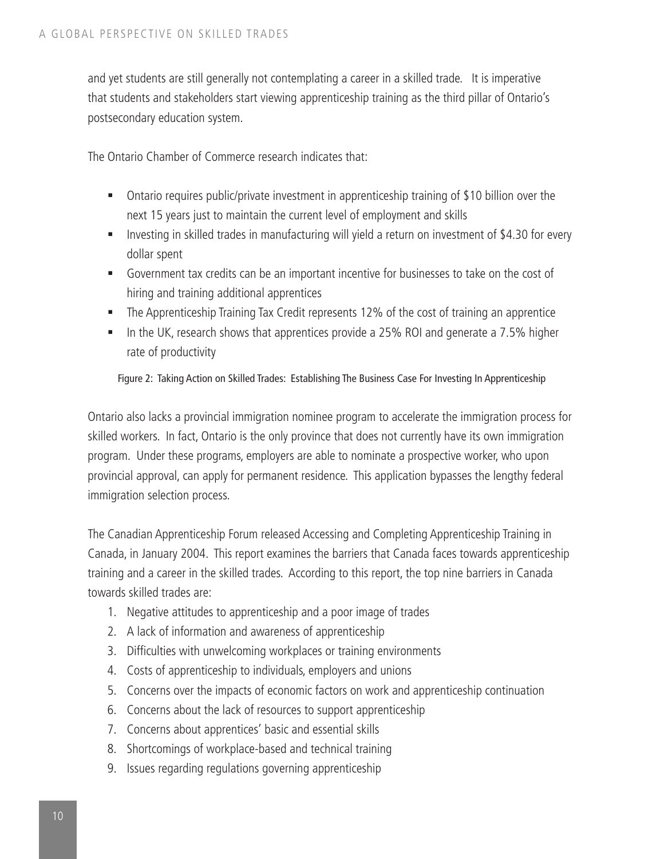and yet students are still generally not contemplating a career in a skilled trade. It is imperative that students and stakeholders start viewing apprenticeship training as the third pillar of Ontario's postsecondary education system.

The Ontario Chamber of Commerce research indicates that:

- Ontario requires public/private investment in apprenticeship training of \$10 billion over the next 15 years just to maintain the current level of employment and skills
- **Investing in skilled trades in manufacturing will yield a return on investment of \$4.30 for every** dollar spent
- Government tax credits can be an important incentive for businesses to take on the cost of hiring and training additional apprentices
- The Apprenticeship Training Tax Credit represents 12% of the cost of training an apprentice
- In the UK, research shows that apprentices provide a 25% ROI and generate a 7.5% higher rate of productivity

Figure 2: Taking Action on Skilled Trades: Establishing The Business Case For Investing In Apprenticeship

Ontario also lacks a provincial immigration nominee program to accelerate the immigration process for skilled workers. In fact, Ontario is the only province that does not currently have its own immigration program. Under these programs, employers are able to nominate a prospective worker, who upon provincial approval, can apply for permanent residence. This application bypasses the lengthy federal immigration selection process.

The Canadian Apprenticeship Forum released Accessing and Completing Apprenticeship Training in Canada, in January 2004. This report examines the barriers that Canada faces towards apprenticeship training and a career in the skilled trades. According to this report, the top nine barriers in Canada towards skilled trades are:

- 1. Negative attitudes to apprenticeship and a poor image of trades
- 2. A lack of information and awareness of apprenticeship
- 3. Difficulties with unwelcoming workplaces or training environments
- 4. Costs of apprenticeship to individuals, employers and unions
- 5. Concerns over the impacts of economic factors on work and apprenticeship continuation
- 6. Concerns about the lack of resources to support apprenticeship
- 7. Concerns about apprentices' basic and essential skills
- 8. Shortcomings of workplace-based and technical training
- 9. Issues regarding regulations governing apprenticeship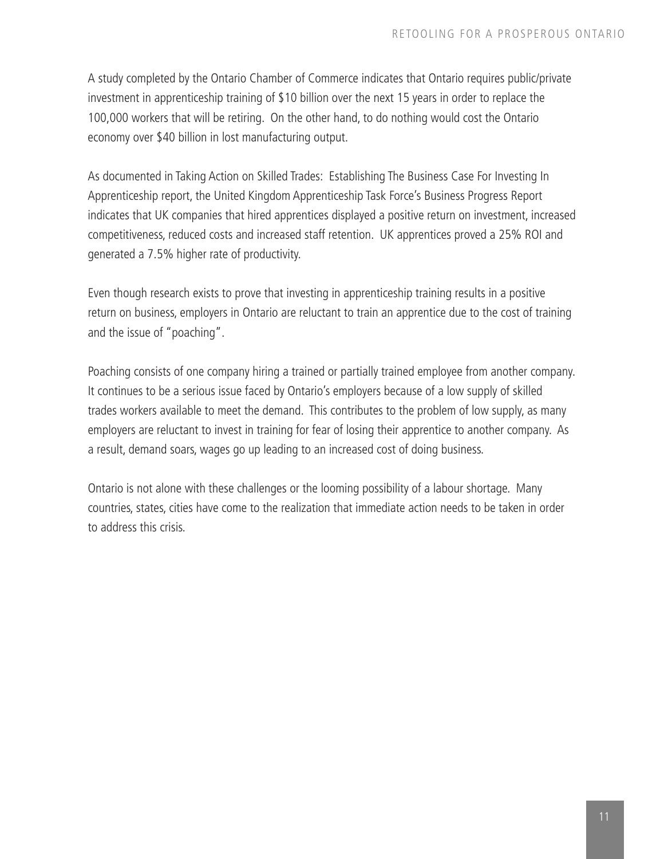A study completed by the Ontario Chamber of Commerce indicates that Ontario requires public/private investment in apprenticeship training of \$10 billion over the next 15 years in order to replace the 100,000 workers that will be retiring. On the other hand, to do nothing would cost the Ontario economy over \$40 billion in lost manufacturing output.

As documented in Taking Action on Skilled Trades: Establishing The Business Case For Investing In Apprenticeship report, the United Kingdom Apprenticeship Task Force's Business Progress Report indicates that UK companies that hired apprentices displayed a positive return on investment, increased competitiveness, reduced costs and increased staff retention. UK apprentices proved a 25% ROI and generated a 7.5% higher rate of productivity.

Even though research exists to prove that investing in apprenticeship training results in a positive return on business, employers in Ontario are reluctant to train an apprentice due to the cost of training and the issue of "poaching".

Poaching consists of one company hiring a trained or partially trained employee from another company. It continues to be a serious issue faced by Ontario's employers because of a low supply of skilled trades workers available to meet the demand. This contributes to the problem of low supply, as many employers are reluctant to invest in training for fear of losing their apprentice to another company. As a result, demand soars, wages go up leading to an increased cost of doing business.

Ontario is not alone with these challenges or the looming possibility of a labour shortage. Many countries, states, cities have come to the realization that immediate action needs to be taken in order to address this crisis.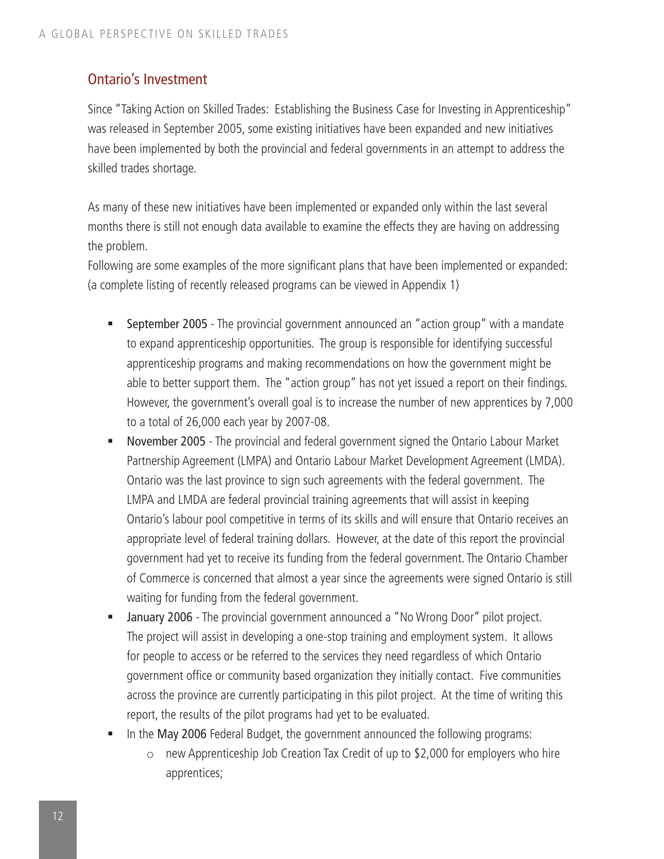### Ontario's Investment

Since "Taking Action on Skilled Trades: Establishing the Business Case for Investing in Apprenticeship" was released in September 2005, some existing initiatives have been expanded and new initiatives have been implemented by both the provincial and federal governments in an attempt to address the skilled trades shortage.

As many of these new initiatives have been implemented or expanded only within the last several months there is still not enough data available to examine the effects they are having on addressing the problem.

Following are some examples of the more significant plans that have been implemented or expanded: (a complete listing of recently released programs can be viewed in Appendix 1)

- September 2005 The provincial government announced an "action group" with a mandate to expand apprenticeship opportunities. The group is responsible for identifying successful apprenticeship programs and making recommendations on how the government might be able to better support them. The "action group" has not yet issued a report on their findings. However, the government's overall goal is to increase the number of new apprentices by 7,000 to a total of 26,000 each year by 2007-08.
- **November 2005** The provincial and federal government signed the Ontario Labour Market Partnership Agreement (LMPA) and Ontario Labour Market Development Agreement (LMDA). Ontario was the last province to sign such agreements with the federal government. The LMPA and LMDA are federal provincial training agreements that will assist in keeping Ontario's labour pool competitive in terms of its skills and will ensure that Ontario receives an appropriate level of federal training dollars. However, at the date of this report the provincial government had yet to receive its funding from the federal government. The Ontario Chamber of Commerce is concerned that almost a year since the agreements were signed Ontario is still waiting for funding from the federal government.
- January 2006 The provincial government announced a "No Wrong Door" pilot project. The project will assist in developing a one-stop training and employment system. It allows for people to access or be referred to the services they need regardless of which Ontario government office or community based organization they initially contact. Five communities across the province are currently participating in this pilot project. At the time of writing this report, the results of the pilot programs had yet to be evaluated.
- In the May 2006 Federal Budget, the government announced the following programs:
	- o new Apprenticeship Job Creation Tax Credit of up to \$2,000 for employers who hire apprentices;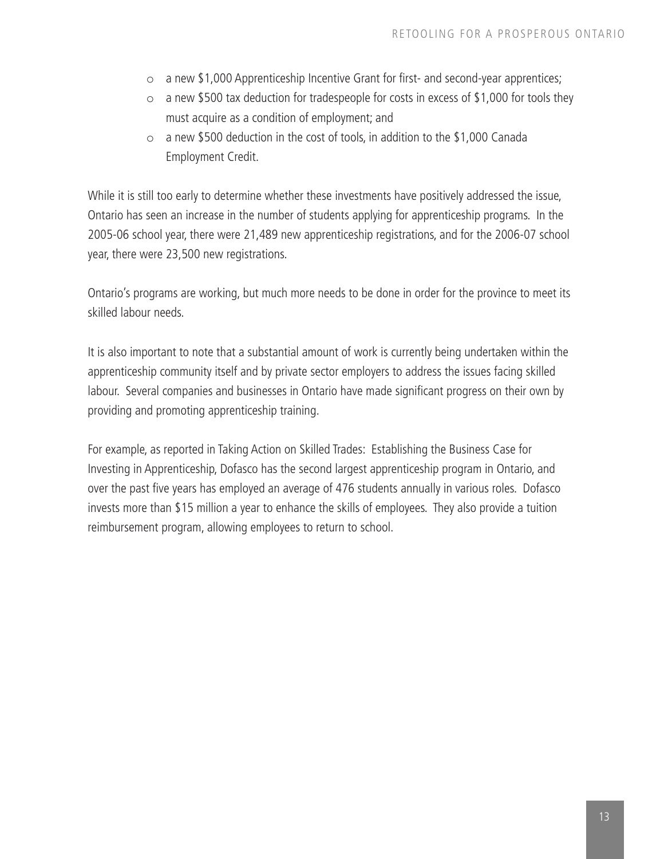- $\circ$  a new \$1,000 Apprenticeship Incentive Grant for first- and second-year apprentices;
- $\circ$  a new \$500 tax deduction for tradespeople for costs in excess of \$1,000 for tools they must acquire as a condition of employment; and
- $\circ$  a new \$500 deduction in the cost of tools, in addition to the \$1,000 Canada Employment Credit.

While it is still too early to determine whether these investments have positively addressed the issue, Ontario has seen an increase in the number of students applying for apprenticeship programs. In the 2005-06 school year, there were 21,489 new apprenticeship registrations, and for the 2006-07 school year, there were 23,500 new registrations.

Ontario's programs are working, but much more needs to be done in order for the province to meet its skilled labour needs.

It is also important to note that a substantial amount of work is currently being undertaken within the apprenticeship community itself and by private sector employers to address the issues facing skilled labour. Several companies and businesses in Ontario have made significant progress on their own by providing and promoting apprenticeship training.

For example, as reported in Taking Action on Skilled Trades: Establishing the Business Case for Investing in Apprenticeship, Dofasco has the second largest apprenticeship program in Ontario, and over the past five years has employed an average of 476 students annually in various roles. Dofasco invests more than \$15 million a year to enhance the skills of employees. They also provide a tuition reimbursement program, allowing employees to return to school.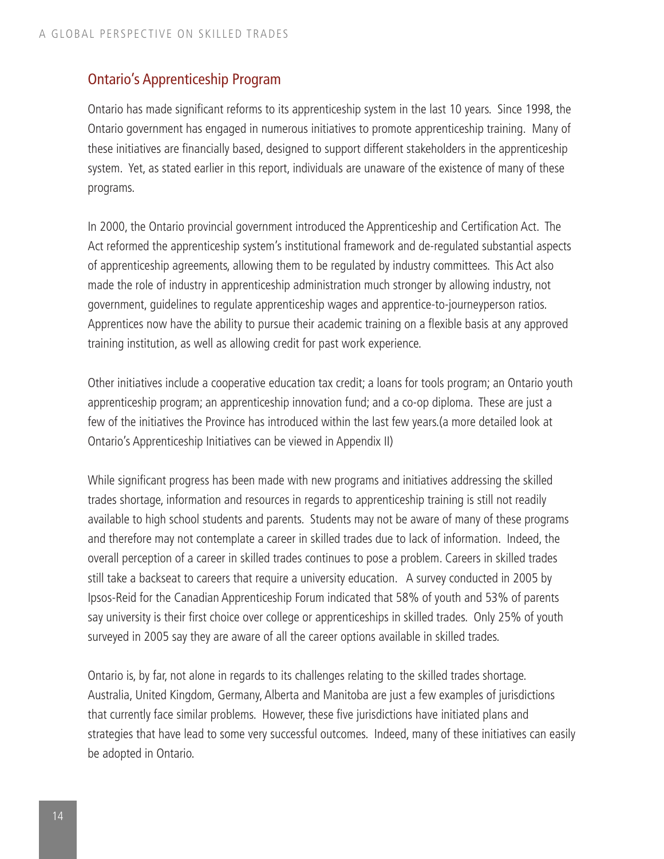### Ontario's Apprenticeship Program

Ontario has made significant reforms to its apprenticeship system in the last 10 years. Since 1998, the Ontario government has engaged in numerous initiatives to promote apprenticeship training. Many of these initiatives are financially based, designed to support different stakeholders in the apprenticeship system. Yet, as stated earlier in this report, individuals are unaware of the existence of many of these programs.

In 2000, the Ontario provincial government introduced the Apprenticeship and Certification Act. The Act reformed the apprenticeship system's institutional framework and de-regulated substantial aspects of apprenticeship agreements, allowing them to be regulated by industry committees. This Act also made the role of industry in apprenticeship administration much stronger by allowing industry, not government, guidelines to regulate apprenticeship wages and apprentice-to-journeyperson ratios. Apprentices now have the ability to pursue their academic training on a flexible basis at any approved training institution, as well as allowing credit for past work experience.

Other initiatives include a cooperative education tax credit; a loans for tools program; an Ontario youth apprenticeship program; an apprenticeship innovation fund; and a co-op diploma. These are just a few of the initiatives the Province has introduced within the last few years.(a more detailed look at Ontario's Apprenticeship Initiatives can be viewed in Appendix II)

While significant progress has been made with new programs and initiatives addressing the skilled trades shortage, information and resources in regards to apprenticeship training is still not readily available to high school students and parents. Students may not be aware of many of these programs and therefore may not contemplate a career in skilled trades due to lack of information. Indeed, the overall perception of a career in skilled trades continues to pose a problem. Careers in skilled trades still take a backseat to careers that require a university education. A survey conducted in 2005 by Ipsos-Reid for the Canadian Apprenticeship Forum indicated that 58% of youth and 53% of parents say university is their first choice over college or apprenticeships in skilled trades. Only 25% of youth surveyed in 2005 say they are aware of all the career options available in skilled trades.

Ontario is, by far, not alone in regards to its challenges relating to the skilled trades shortage. Australia, United Kingdom, Germany, Alberta and Manitoba are just a few examples of jurisdictions that currently face similar problems. However, these five jurisdictions have initiated plans and strategies that have lead to some very successful outcomes. Indeed, many of these initiatives can easily be adopted in Ontario.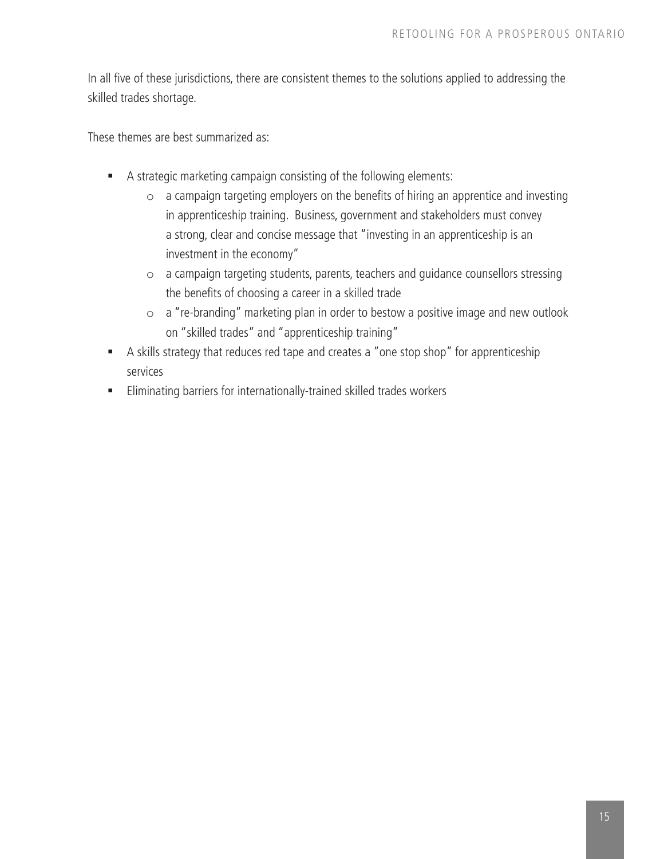In all five of these jurisdictions, there are consistent themes to the solutions applied to addressing the skilled trades shortage.

These themes are best summarized as:

- A strategic marketing campaign consisting of the following elements:
	- o a campaign targeting employers on the benefits of hiring an apprentice and investing in apprenticeship training. Business, government and stakeholders must convey a strong, clear and concise message that "investing in an apprenticeship is an investment in the economy"
	- o a campaign targeting students, parents, teachers and guidance counsellors stressing the benefits of choosing a career in a skilled trade
	- o a "re-branding" marketing plan in order to bestow a positive image and new outlook on "skilled trades" and "apprenticeship training"
- A skills strategy that reduces red tape and creates a "one stop shop" for apprenticeship services
- Eliminating barriers for internationally-trained skilled trades workers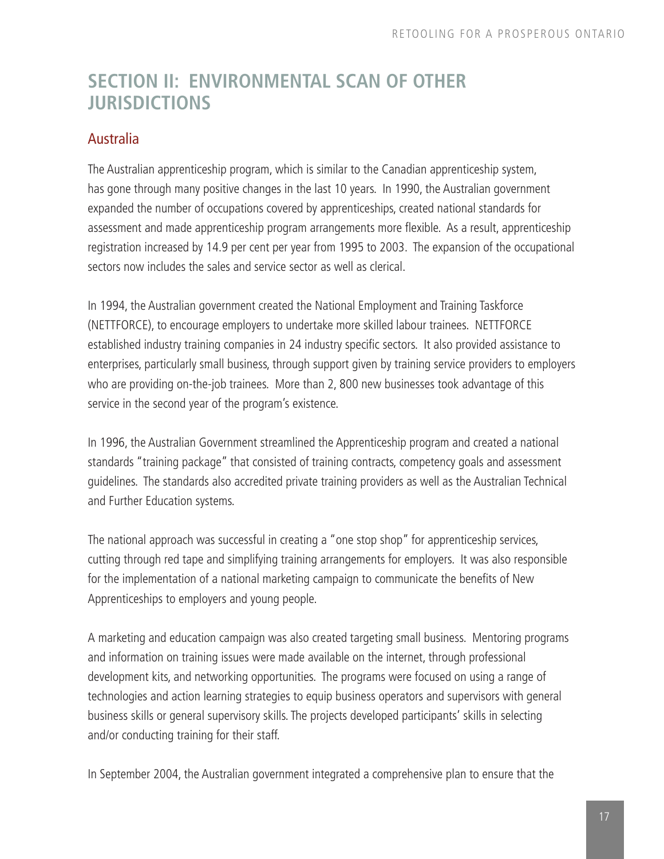### **SECTION II: ENVIRONMENTAL SCAN OF OTHER JURISDICTIONS**

### **Australia**

The Australian apprenticeship program, which is similar to the Canadian apprenticeship system, has gone through many positive changes in the last 10 years. In 1990, the Australian government expanded the number of occupations covered by apprenticeships, created national standards for assessment and made apprenticeship program arrangements more flexible. As a result, apprenticeship registration increased by 14.9 per cent per year from 1995 to 2003. The expansion of the occupational sectors now includes the sales and service sector as well as clerical.

In 1994, the Australian government created the National Employment and Training Taskforce (NETTFORCE), to encourage employers to undertake more skilled labour trainees. NETTFORCE established industry training companies in 24 industry specific sectors. It also provided assistance to enterprises, particularly small business, through support given by training service providers to employers who are providing on-the-job trainees. More than 2, 800 new businesses took advantage of this service in the second year of the program's existence.

In 1996, the Australian Government streamlined the Apprenticeship program and created a national standards "training package" that consisted of training contracts, competency goals and assessment guidelines. The standards also accredited private training providers as well as the Australian Technical and Further Education systems.

The national approach was successful in creating a "one stop shop" for apprenticeship services, cutting through red tape and simplifying training arrangements for employers. It was also responsible for the implementation of a national marketing campaign to communicate the benefits of New Apprenticeships to employers and young people.

A marketing and education campaign was also created targeting small business. Mentoring programs and information on training issues were made available on the internet, through professional development kits, and networking opportunities. The programs were focused on using a range of technologies and action learning strategies to equip business operators and supervisors with general business skills or general supervisory skills. The projects developed participants' skills in selecting and/or conducting training for their staff.

In September 2004, the Australian government integrated a comprehensive plan to ensure that the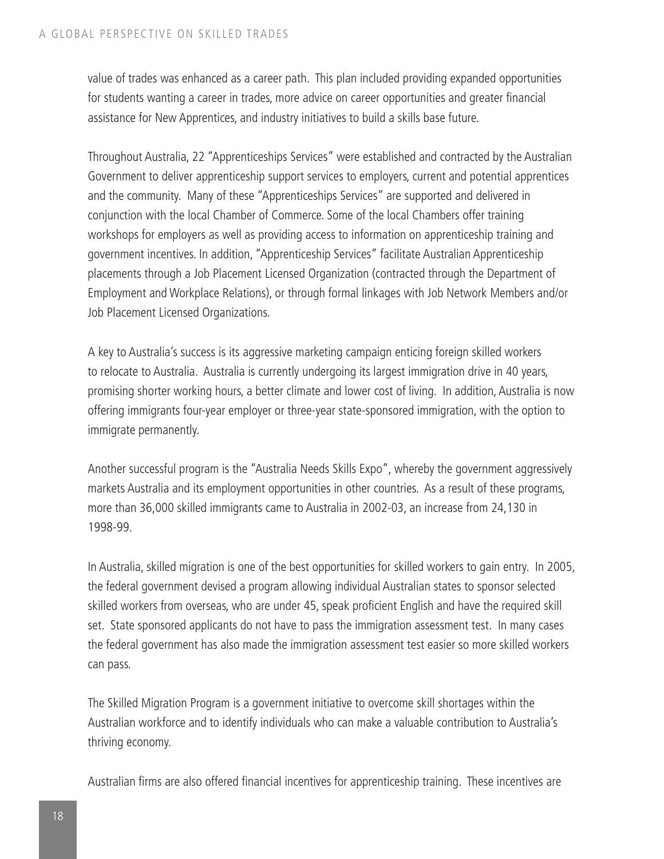value of trades was enhanced as a career path. This plan included providing expanded opportunities for students wanting a career in trades, more advice on career opportunities and greater financial assistance for New Apprentices, and industry initiatives to build a skills base future.

Throughout Australia, 22 "Apprenticeships Services" were established and contracted by the Australian Government to deliver apprenticeship support services to employers, current and potential apprentices and the community. Many of these "Apprenticeships Services" are supported and delivered in conjunction with the local Chamber of Commerce. Some of the local Chambers offer training workshops for employers as well as providing access to information on apprenticeship training and government incentives. In addition, "Apprenticeship Services" facilitate Australian Apprenticeship placements through a Job Placement Licensed Organization (contracted through the Department of Employment and Workplace Relations), or through formal linkages with Job Network Members and/or Job Placement Licensed Organizations.

A key to Australia's success is its aggressive marketing campaign enticing foreign skilled workers to relocate to Australia. Australia is currently undergoing its largest immigration drive in 40 years, promising shorter working hours, a better climate and lower cost of living. In addition, Australia is now offering immigrants four-year employer or three-year state-sponsored immigration, with the option to immigrate permanently.

Another successful program is the "Australia Needs Skills Expo", whereby the government aggressively markets Australia and its employment opportunities in other countries. As a result of these programs, more than 36,000 skilled immigrants came to Australia in 2002-03, an increase from 24,130 in 1998-99.

In Australia, skilled migration is one of the best opportunities for skilled workers to gain entry. In 2005, the federal government devised a program allowing individual Australian states to sponsor selected skilled workers from overseas, who are under 45, speak proficient English and have the required skill set. State sponsored applicants do not have to pass the immigration assessment test. In many cases the federal government has also made the immigration assessment test easier so more skilled workers can pass.

The Skilled Migration Program is a government initiative to overcome skill shortages within the Australian workforce and to identify individuals who can make a valuable contribution to Australia's thriving economy.

Australian firms are also offered financial incentives for apprenticeship training. These incentives are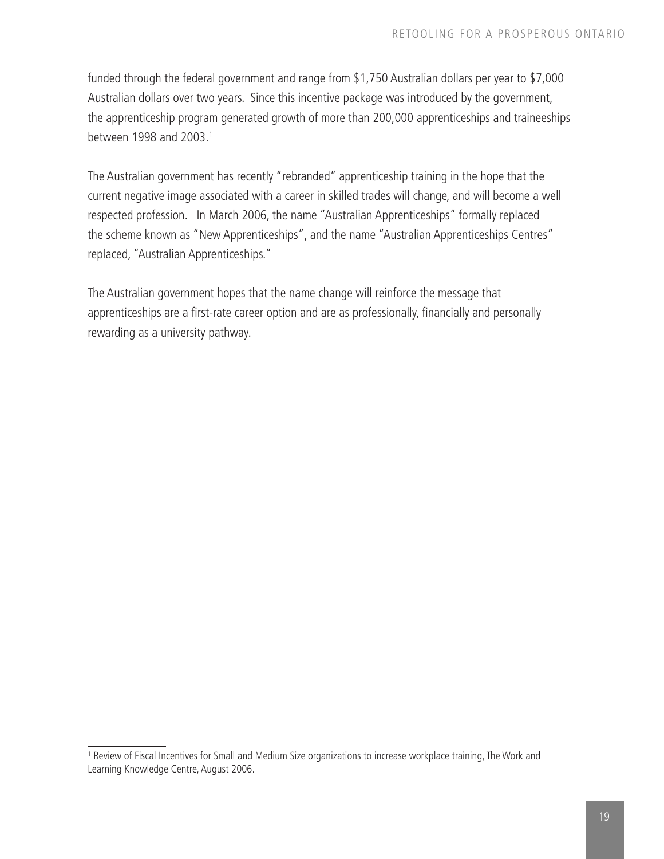funded through the federal government and range from \$1,750 Australian dollars per year to \$7,000 Australian dollars over two years. Since this incentive package was introduced by the government, the apprenticeship program generated growth of more than 200,000 apprenticeships and traineeships between 1998 and 2003.

The Australian government has recently "rebranded" apprenticeship training in the hope that the current negative image associated with a career in skilled trades will change, and will become a well respected profession. In March 2006, the name "Australian Apprenticeships" formally replaced the scheme known as "New Apprenticeships", and the name "Australian Apprenticeships Centres" replaced, "Australian Apprenticeships."

The Australian government hopes that the name change will reinforce the message that apprenticeships are a first-rate career option and are as professionally, financially and personally rewarding as a university pathway.

<sup>&</sup>lt;sup>1</sup> Review of Fiscal Incentives for Small and Medium Size organizations to increase workplace training, The Work and Learning Knowledge Centre, August 2006.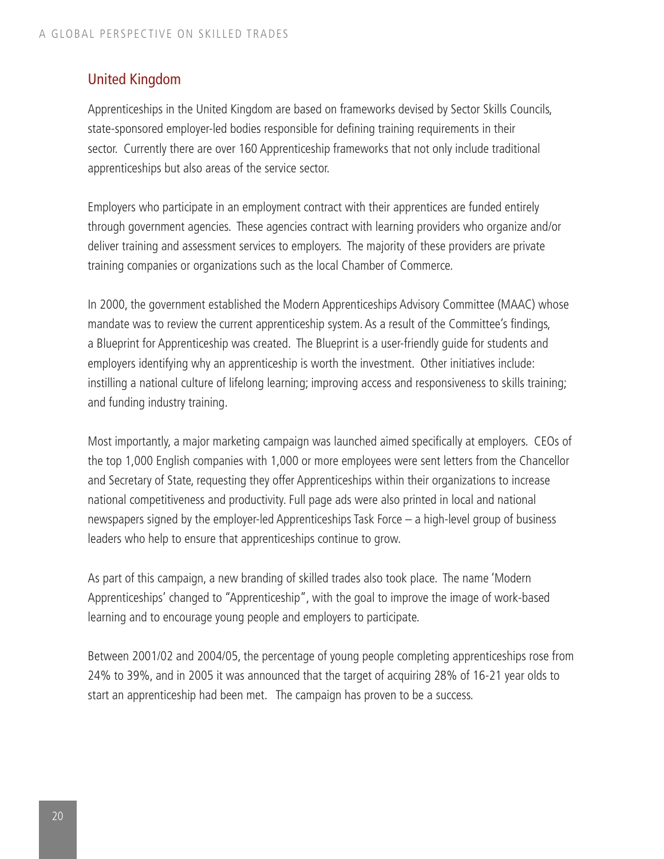### United Kingdom

Apprenticeships in the United Kingdom are based on frameworks devised by Sector Skills Councils, state-sponsored employer-led bodies responsible for defining training requirements in their sector. Currently there are over 160 Apprenticeship frameworks that not only include traditional apprenticeships but also areas of the service sector.

Employers who participate in an employment contract with their apprentices are funded entirely through government agencies. These agencies contract with learning providers who organize and/or deliver training and assessment services to employers. The majority of these providers are private training companies or organizations such as the local Chamber of Commerce.

In 2000, the government established the Modern Apprenticeships Advisory Committee (MAAC) whose mandate was to review the current apprenticeship system. As a result of the Committee's findings, a Blueprint for Apprenticeship was created. The Blueprint is a user-friendly guide for students and employers identifying why an apprenticeship is worth the investment. Other initiatives include: instilling a national culture of lifelong learning; improving access and responsiveness to skills training; and funding industry training.

Most importantly, a major marketing campaign was launched aimed specifically at employers. CEOs of the top 1,000 English companies with 1,000 or more employees were sent letters from the Chancellor and Secretary of State, requesting they offer Apprenticeships within their organizations to increase national competitiveness and productivity. Full page ads were also printed in local and national newspapers signed by the employer-led Apprenticeships Task Force – a high-level group of business leaders who help to ensure that apprenticeships continue to grow.

As part of this campaign, a new branding of skilled trades also took place. The name 'Modern Apprenticeships' changed to "Apprenticeship", with the goal to improve the image of work-based learning and to encourage young people and employers to participate.

Between 2001/02 and 2004/05, the percentage of young people completing apprenticeships rose from 24% to 39%, and in 2005 it was announced that the target of acquiring 28% of 16-21 year olds to start an apprenticeship had been met. The campaign has proven to be a success.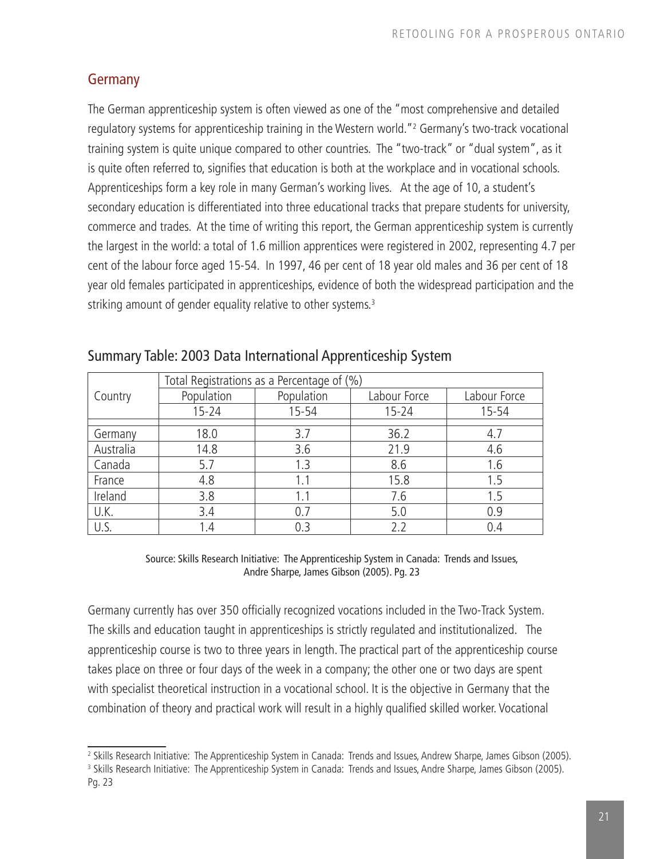### **Germany**

The German apprenticeship system is often viewed as one of the "most comprehensive and detailed regulatory systems for apprenticeship training in the Western world."<sup>2</sup> Germany's two-track vocational training system is quite unique compared to other countries. The "two-track" or "dual system", as it is quite often referred to, signifies that education is both at the workplace and in vocational schools. Apprenticeships form a key role in many German's working lives. At the age of 10, a student's secondary education is differentiated into three educational tracks that prepare students for university, commerce and trades. At the time of writing this report, the German apprenticeship system is currently the largest in the world: a total of 1.6 million apprentices were registered in 2002, representing 4.7 per cent of the labour force aged 15-54. In 1997, 46 per cent of 18 year old males and 36 per cent of 18 year old females participated in apprenticeships, evidence of both the widespread participation and the striking amount of gender equality relative to other systems.<sup>3</sup>

|           | Total Registrations as a Percentage of (%) |            |              |              |  |
|-----------|--------------------------------------------|------------|--------------|--------------|--|
| Country   | Population                                 | Population | Labour Force | Labour Force |  |
|           | $15 - 24$                                  | $15 - 54$  | $15 - 24$    | 15-54        |  |
|           |                                            |            |              |              |  |
| Germany   | 18.0                                       | 3.7        | 36.2         | 4.7          |  |
| Australia | 14.8                                       | 3.6        | 21.9         | 4.6          |  |
| Canada    | 5.7                                        | 1.3        | 8.6          | 1.6          |  |
| France    | 4.8                                        | 1.1        | 15.8         | 1.5          |  |
| Ireland   | 3.8                                        | 1.1        | 7.6          | 1.5          |  |
| U.K.      | 3.4                                        | 0.7        | 5.0          | 0.9          |  |
| U.S.      | 1.4                                        | 0.3        | 2.2          | 0.4          |  |

### Summary Table: 2003 Data International Apprenticeship System

Source: Skills Research Initiative: The Apprenticeship System in Canada: Trends and Issues, Andre Sharpe, James Gibson (2005). Pg. 23

Germany currently has over 350 officially recognized vocations included in the Two-Track System. The skills and education taught in apprenticeships is strictly regulated and institutionalized. The apprenticeship course is two to three years in length. The practical part of the apprenticeship course takes place on three or four days of the week in a company; the other one or two days are spent with specialist theoretical instruction in a vocational school. It is the objective in Germany that the combination of theory and practical work will result in a highly qualified skilled worker. Vocational

<sup>&</sup>lt;sup>2</sup> Skills Research Initiative: The Apprenticeship System in Canada: Trends and Issues, Andrew Sharpe, James Gibson (2005).<br><sup>3</sup> Skills Research Initiative: The Apprenticeship System in Canada: Trends and Issues, Andre Shar Pg. 23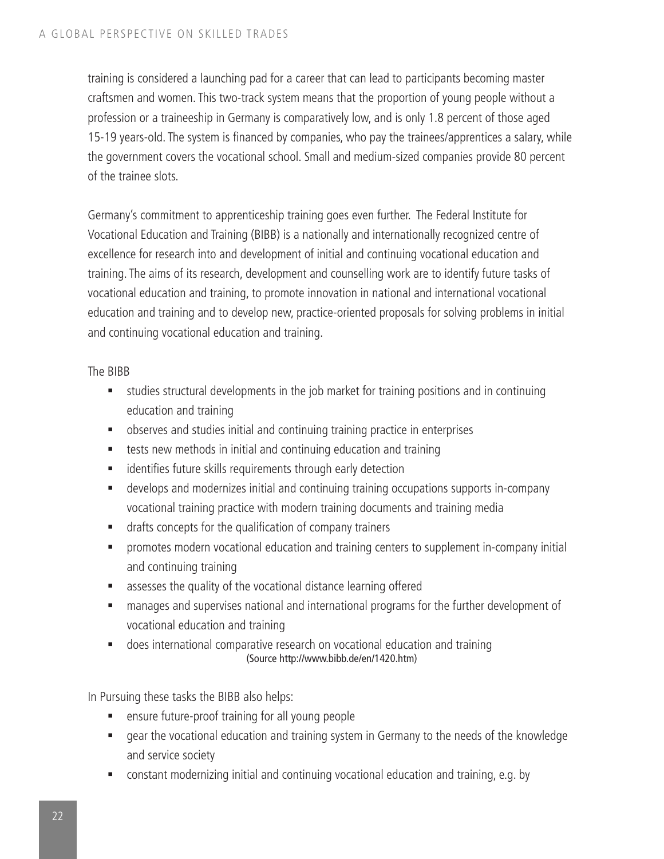training is considered a launching pad for a career that can lead to participants becoming master craftsmen and women. This two-track system means that the proportion of young people without a profession or a traineeship in Germany is comparatively low, and is only 1.8 percent of those aged 15-19 years-old. The system is financed by companies, who pay the trainees/apprentices a salary, while the government covers the vocational school. Small and medium-sized companies provide 80 percent of the trainee slots.

Germany's commitment to apprenticeship training goes even further. The Federal Institute for Vocational Education and Training (BIBB) is a nationally and internationally recognized centre of excellence for research into and development of initial and continuing vocational education and training. The aims of its research, development and counselling work are to identify future tasks of vocational education and training, to promote innovation in national and international vocational education and training and to develop new, practice-oriented proposals for solving problems in initial and continuing vocational education and training.

The BIBB

- studies structural developments in the job market for training positions and in continuing education and training
- observes and studies initial and continuing training practice in enterprises
- tests new methods in initial and continuing education and training
- **EXEDENT** identifies future skills requirements through early detection
- develops and modernizes initial and continuing training occupations supports in-company vocational training practice with modern training documents and training media
- drafts concepts for the qualification of company trainers
- promotes modern vocational education and training centers to supplement in-company initial and continuing training
- assesses the quality of the vocational distance learning offered
- manages and supervises national and international programs for the further development of vocational education and training
- does international comparative research on vocational education and training (Source http://www.bibb.de/en/1420.htm)

In Pursuing these tasks the BIBB also helps:

- **EXE** ensure future-proof training for all young people
- gear the vocational education and training system in Germany to the needs of the knowledge and service society
- constant modernizing initial and continuing vocational education and training, e.g. by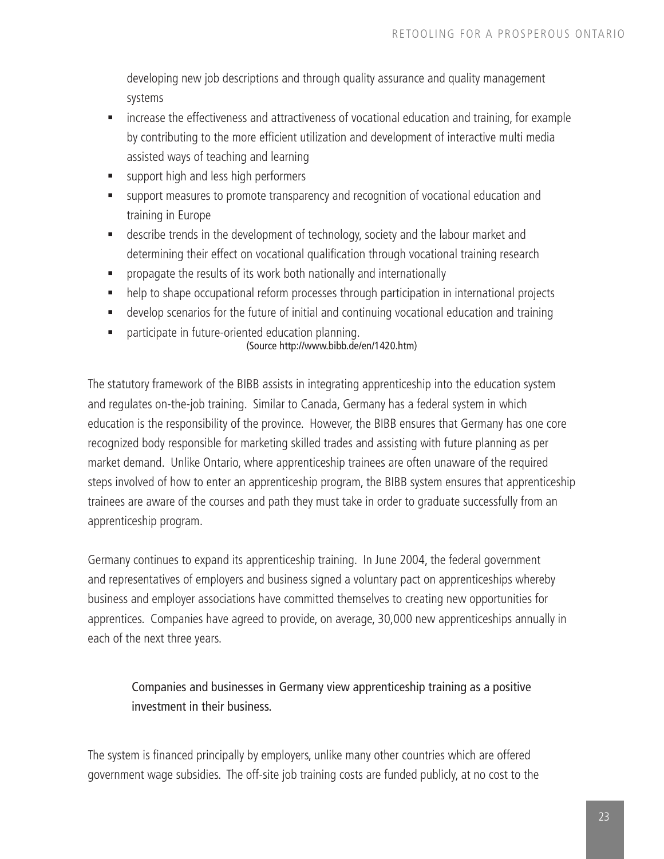developing new job descriptions and through quality assurance and quality management systems

- **EXTERGHLET 2018 Increase the effectiveness and attractiveness of vocational education and training, for example** by contributing to the more efficient utilization and development of interactive multi media assisted ways of teaching and learning
- support high and less high performers
- support measures to promote transparency and recognition of vocational education and training in Europe
- describe trends in the development of technology, society and the labour market and determining their effect on vocational qualification through vocational training research
- propagate the results of its work both nationally and internationally
- help to shape occupational reform processes through participation in international projects
- develop scenarios for the future of initial and continuing vocational education and training
- participate in future-oriented education planning.

#### (Source http://www.bibb.de/en/1420.htm)

The statutory framework of the BIBB assists in integrating apprenticeship into the education system and regulates on-the-job training. Similar to Canada, Germany has a federal system in which education is the responsibility of the province. However, the BIBB ensures that Germany has one core recognized body responsible for marketing skilled trades and assisting with future planning as per market demand. Unlike Ontario, where apprenticeship trainees are often unaware of the required steps involved of how to enter an apprenticeship program, the BIBB system ensures that apprenticeship trainees are aware of the courses and path they must take in order to graduate successfully from an apprenticeship program.

Germany continues to expand its apprenticeship training. In June 2004, the federal government and representatives of employers and business signed a voluntary pact on apprenticeships whereby business and employer associations have committed themselves to creating new opportunities for apprentices. Companies have agreed to provide, on average, 30,000 new apprenticeships annually in each of the next three years.

Companies and businesses in Germany view apprenticeship training as a positive investment in their business.

The system is financed principally by employers, unlike many other countries which are offered government wage subsidies. The off-site job training costs are funded publicly, at no cost to the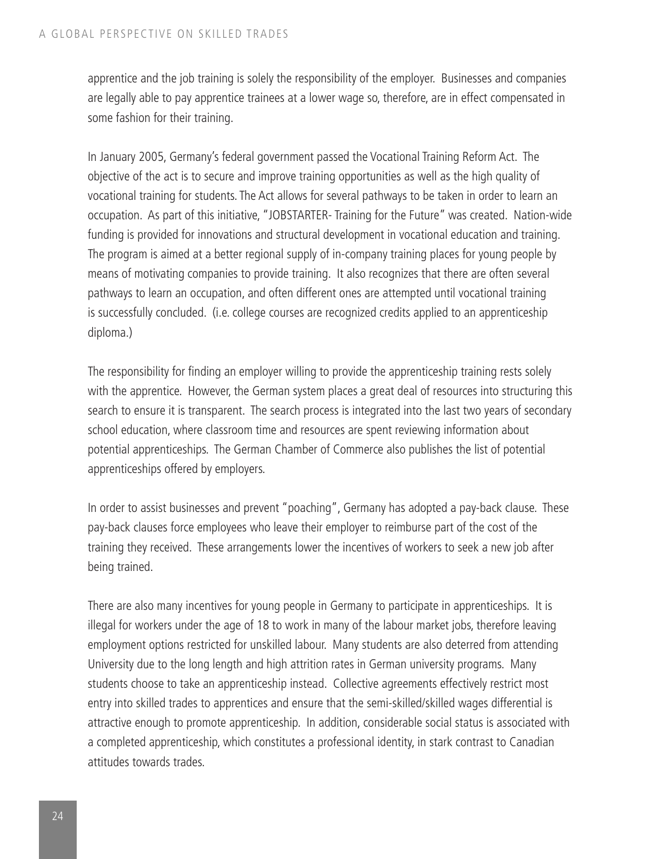apprentice and the job training is solely the responsibility of the employer. Businesses and companies are legally able to pay apprentice trainees at a lower wage so, therefore, are in effect compensated in some fashion for their training.

In January 2005, Germany's federal government passed the Vocational Training Reform Act. The objective of the act is to secure and improve training opportunities as well as the high quality of vocational training for students. The Act allows for several pathways to be taken in order to learn an occupation. As part of this initiative, "JOBSTARTER- Training for the Future" was created. Nation-wide funding is provided for innovations and structural development in vocational education and training. The program is aimed at a better regional supply of in-company training places for young people by means of motivating companies to provide training. It also recognizes that there are often several pathways to learn an occupation, and often different ones are attempted until vocational training is successfully concluded. (i.e. college courses are recognized credits applied to an apprenticeship diploma.)

The responsibility for finding an employer willing to provide the apprenticeship training rests solely with the apprentice. However, the German system places a great deal of resources into structuring this search to ensure it is transparent. The search process is integrated into the last two years of secondary school education, where classroom time and resources are spent reviewing information about potential apprenticeships. The German Chamber of Commerce also publishes the list of potential apprenticeships offered by employers.

In order to assist businesses and prevent "poaching", Germany has adopted a pay-back clause. These pay-back clauses force employees who leave their employer to reimburse part of the cost of the training they received. These arrangements lower the incentives of workers to seek a new job after being trained.

There are also many incentives for young people in Germany to participate in apprenticeships. It is illegal for workers under the age of 18 to work in many of the labour market jobs, therefore leaving employment options restricted for unskilled labour. Many students are also deterred from attending University due to the long length and high attrition rates in German university programs. Many students choose to take an apprenticeship instead. Collective agreements effectively restrict most entry into skilled trades to apprentices and ensure that the semi-skilled/skilled wages differential is attractive enough to promote apprenticeship. In addition, considerable social status is associated with a completed apprenticeship, which constitutes a professional identity, in stark contrast to Canadian attitudes towards trades.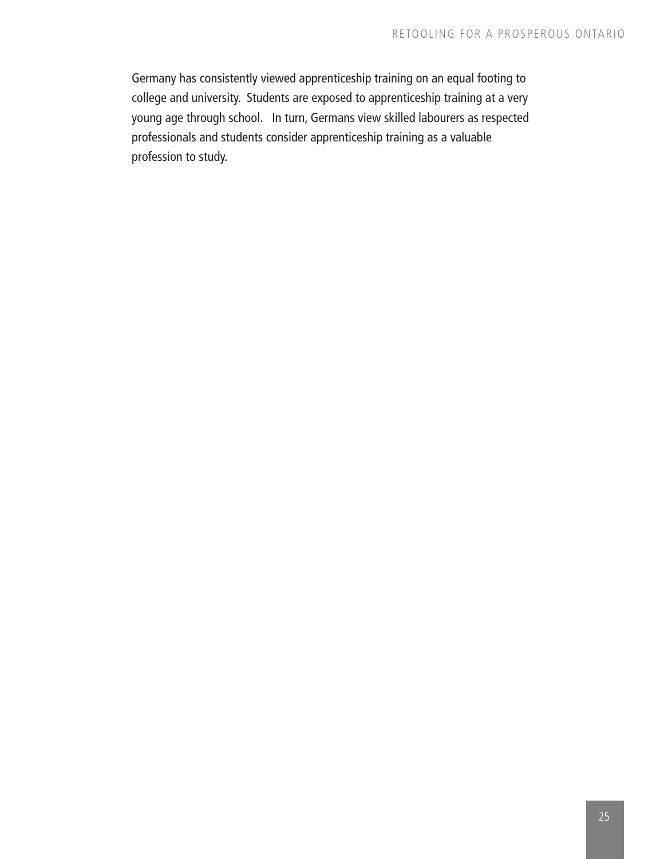Germany has consistently viewed apprenticeship training on an equal footing to college and university. Students are exposed to apprenticeship training at a very young age through school. In turn, Germans view skilled labourers as respected professionals and students consider apprenticeship training as a valuable profession to study.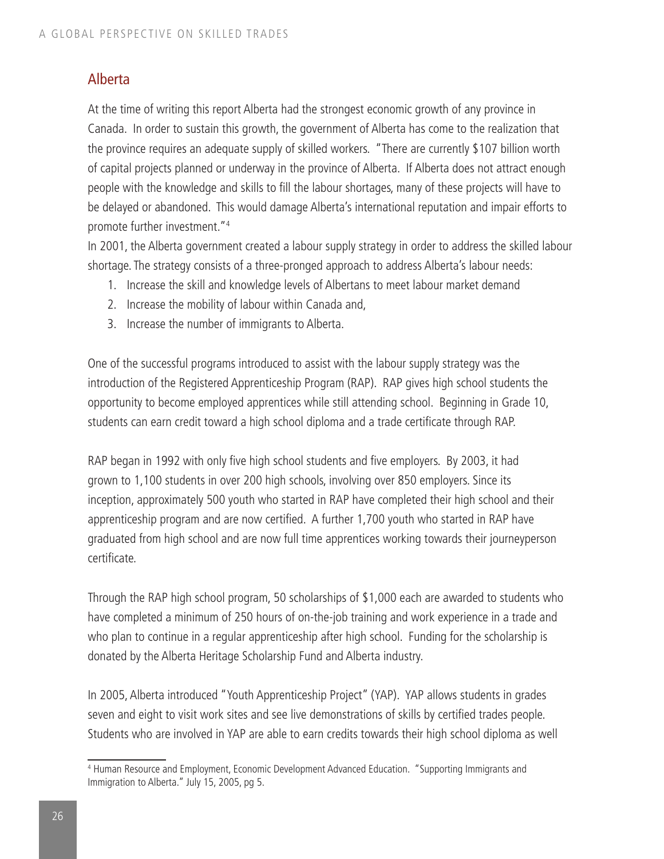### Alberta

At the time of writing this report Alberta had the strongest economic growth of any province in Canada. In order to sustain this growth, the government of Alberta has come to the realization that the province requires an adequate supply of skilled workers. "There are currently \$107 billion worth of capital projects planned or underway in the province of Alberta. If Alberta does not attract enough people with the knowledge and skills to fill the labour shortages, many of these projects will have to be delayed or abandoned. This would damage Alberta's international reputation and impair efforts to promote further investment."

In 2001, the Alberta government created a labour supply strategy in order to address the skilled labour shortage. The strategy consists of a three-pronged approach to address Alberta's labour needs:

- 1. Increase the skill and knowledge levels of Albertans to meet labour market demand
- 2. Increase the mobility of labour within Canada and,
- 3. Increase the number of immigrants to Alberta.

One of the successful programs introduced to assist with the labour supply strategy was the introduction of the Registered Apprenticeship Program (RAP). RAP gives high school students the opportunity to become employed apprentices while still attending school. Beginning in Grade 10, students can earn credit toward a high school diploma and a trade certificate through RAP.

RAP began in 1992 with only five high school students and five employers. By 2003, it had grown to 1,100 students in over 200 high schools, involving over 850 employers. Since its inception, approximately 500 youth who started in RAP have completed their high school and their apprenticeship program and are now certified. A further 1,700 youth who started in RAP have graduated from high school and are now full time apprentices working towards their journeyperson certificate.

Through the RAP high school program, 50 scholarships of \$1,000 each are awarded to students who have completed a minimum of 250 hours of on-the-job training and work experience in a trade and who plan to continue in a regular apprenticeship after high school. Funding for the scholarship is donated by the Alberta Heritage Scholarship Fund and Alberta industry.

In 2005, Alberta introduced "Youth Apprenticeship Project" (YAP). YAP allows students in grades seven and eight to visit work sites and see live demonstrations of skills by certified trades people. Students who are involved in YAP are able to earn credits towards their high school diploma as well

<sup>4</sup> Human Resource and Employment, Economic Development Advanced Education. "Supporting Immigrants and Immigration to Alberta." July 15, 2005, pg 5.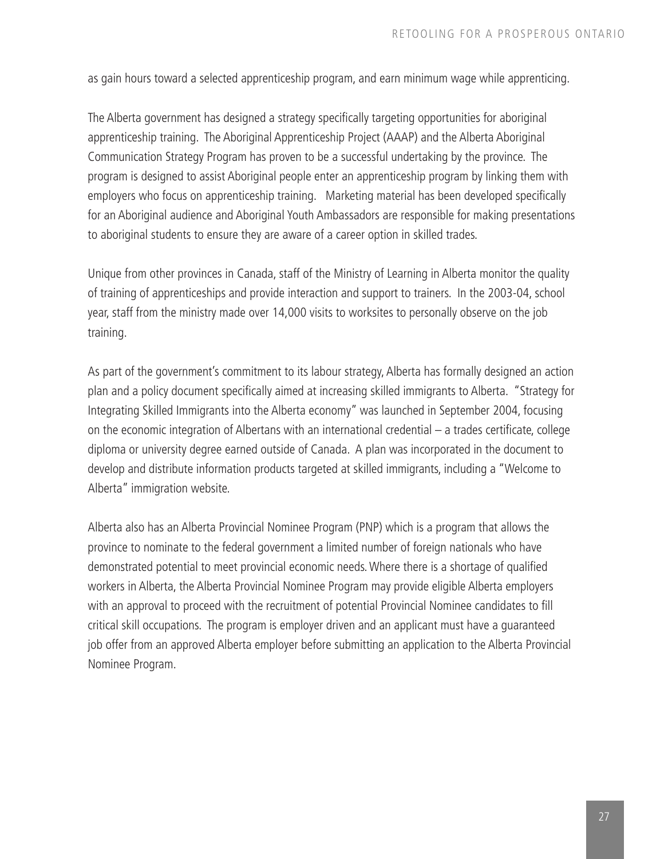as gain hours toward a selected apprenticeship program, and earn minimum wage while apprenticing.

The Alberta government has designed a strategy specifically targeting opportunities for aboriginal apprenticeship training. The Aboriginal Apprenticeship Project (AAAP) and the Alberta Aboriginal Communication Strategy Program has proven to be a successful undertaking by the province. The program is designed to assist Aboriginal people enter an apprenticeship program by linking them with employers who focus on apprenticeship training. Marketing material has been developed specifically for an Aboriginal audience and Aboriginal Youth Ambassadors are responsible for making presentations to aboriginal students to ensure they are aware of a career option in skilled trades.

Unique from other provinces in Canada, staff of the Ministry of Learning in Alberta monitor the quality of training of apprenticeships and provide interaction and support to trainers. In the 2003-04, school year, staff from the ministry made over 14,000 visits to worksites to personally observe on the job training.

As part of the government's commitment to its labour strategy, Alberta has formally designed an action plan and a policy document specifically aimed at increasing skilled immigrants to Alberta. "Strategy for Integrating Skilled Immigrants into the Alberta economy" was launched in September 2004, focusing on the economic integration of Albertans with an international credential – a trades certificate, college diploma or university degree earned outside of Canada. A plan was incorporated in the document to develop and distribute information products targeted at skilled immigrants, including a "Welcome to Alberta" immigration website.

Alberta also has an Alberta Provincial Nominee Program (PNP) which is a program that allows the province to nominate to the federal government a limited number of foreign nationals who have demonstrated potential to meet provincial economic needs.Where there is a shortage of qualified workers in Alberta, the Alberta Provincial Nominee Program may provide eligible Alberta employers with an approval to proceed with the recruitment of potential Provincial Nominee candidates to fill critical skill occupations. The program is employer driven and an applicant must have a guaranteed job offer from an approved Alberta employer before submitting an application to the Alberta Provincial Nominee Program.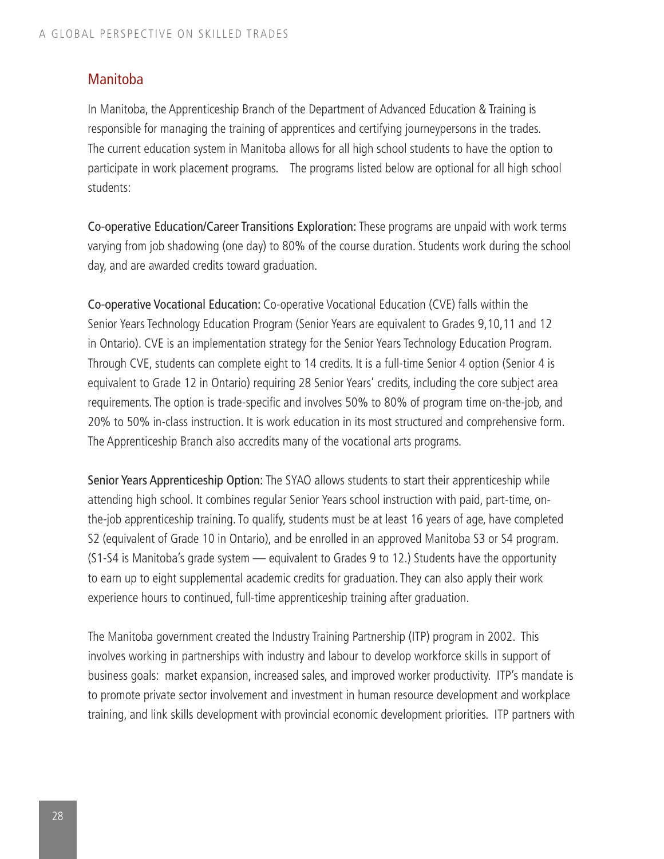### Manitoba

In Manitoba, the Apprenticeship Branch of the Department of Advanced Education & Training is responsible for managing the training of apprentices and certifying journeypersons in the trades. The current education system in Manitoba allows for all high school students to have the option to participate in work placement programs. The programs listed below are optional for all high school students:

Co-operative Education/Career Transitions Exploration: These programs are unpaid with work terms varying from job shadowing (one day) to 80% of the course duration. Students work during the school day, and are awarded credits toward graduation.

Co-operative Vocational Education: Co-operative Vocational Education (CVE) falls within the Senior Years Technology Education Program (Senior Years are equivalent to Grades 9,10,11 and 12 in Ontario). CVE is an implementation strategy for the Senior Years Technology Education Program. Through CVE, students can complete eight to 14 credits. It is a full-time Senior 4 option (Senior 4 is equivalent to Grade 12 in Ontario) requiring 28 Senior Years' credits, including the core subject area requirements. The option is trade-specific and involves 50% to 80% of program time on-the-job, and 20% to 50% in-class instruction. It is work education in its most structured and comprehensive form. The Apprenticeship Branch also accredits many of the vocational arts programs.

Senior Years Apprenticeship Option: The SYAO allows students to start their apprenticeship while attending high school. It combines regular Senior Years school instruction with paid, part-time, onthe-job apprenticeship training. To qualify, students must be at least 16 years of age, have completed S2 (equivalent of Grade 10 in Ontario), and be enrolled in an approved Manitoba S3 or S4 program. (S1-S4 is Manitoba's grade system — equivalent to Grades 9 to 12.) Students have the opportunity to earn up to eight supplemental academic credits for graduation. They can also apply their work experience hours to continued, full-time apprenticeship training after graduation.

The Manitoba government created the Industry Training Partnership (ITP) program in 2002. This involves working in partnerships with industry and labour to develop workforce skills in support of business goals: market expansion, increased sales, and improved worker productivity. ITP's mandate is to promote private sector involvement and investment in human resource development and workplace training, and link skills development with provincial economic development priorities. ITP partners with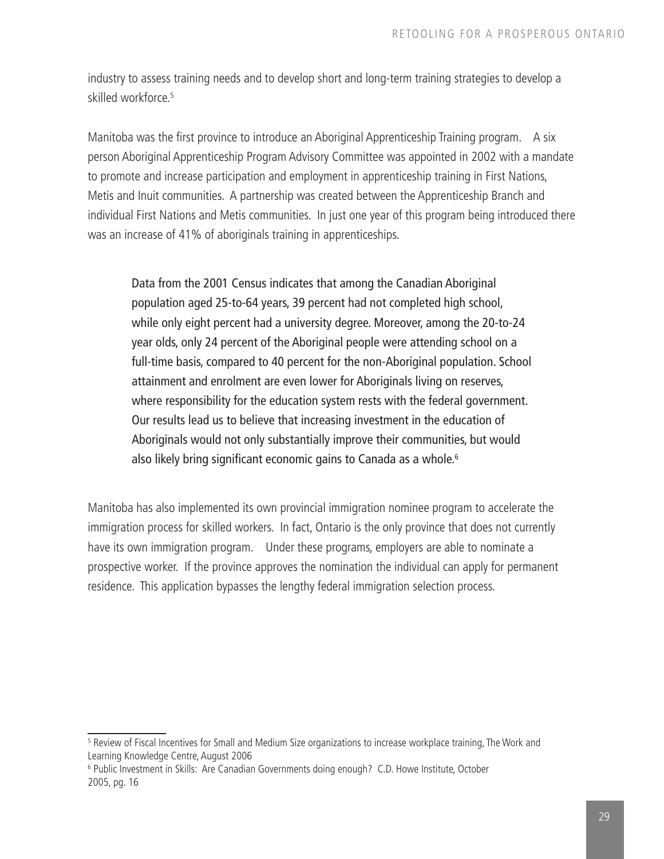industry to assess training needs and to develop short and long-term training strategies to develop a skilled workforce.5

Manitoba was the first province to introduce an Aboriginal Apprenticeship Training program. A six person Aboriginal Apprenticeship Program Advisory Committee was appointed in 2002 with a mandate to promote and increase participation and employment in apprenticeship training in First Nations, Metis and Inuit communities. A partnership was created between the Apprenticeship Branch and individual First Nations and Metis communities. In just one year of this program being introduced there was an increase of 41% of aboriginals training in apprenticeships.

Data from the 2001 Census indicates that among the Canadian Aboriginal population aged 25-to-64 years, 39 percent had not completed high school, while only eight percent had a university degree. Moreover, among the 20-to-24 year olds, only 24 percent of the Aboriginal people were attending school on a full-time basis, compared to 40 percent for the non-Aboriginal population. School attainment and enrolment are even lower for Aboriginals living on reserves, where responsibility for the education system rests with the federal government. Our results lead us to believe that increasing investment in the education of Aboriginals would not only substantially improve their communities, but would also likely bring significant economic gains to Canada as a whole.<sup>6</sup>

Manitoba has also implemented its own provincial immigration nominee program to accelerate the immigration process for skilled workers. In fact, Ontario is the only province that does not currently have its own immigration program. Under these programs, employers are able to nominate a prospective worker. If the province approves the nomination the individual can apply for permanent residence. This application bypasses the lengthy federal immigration selection process.

<sup>5</sup> Review of Fiscal Incentives for Small and Medium Size organizations to increase workplace training, The Work and Learning Knowledge Centre, August 2006

<sup>&</sup>lt;sup>6</sup> Public Investment in Skills: Are Canadian Governments doing enough? C.D. Howe Institute, October 2005, pg. 16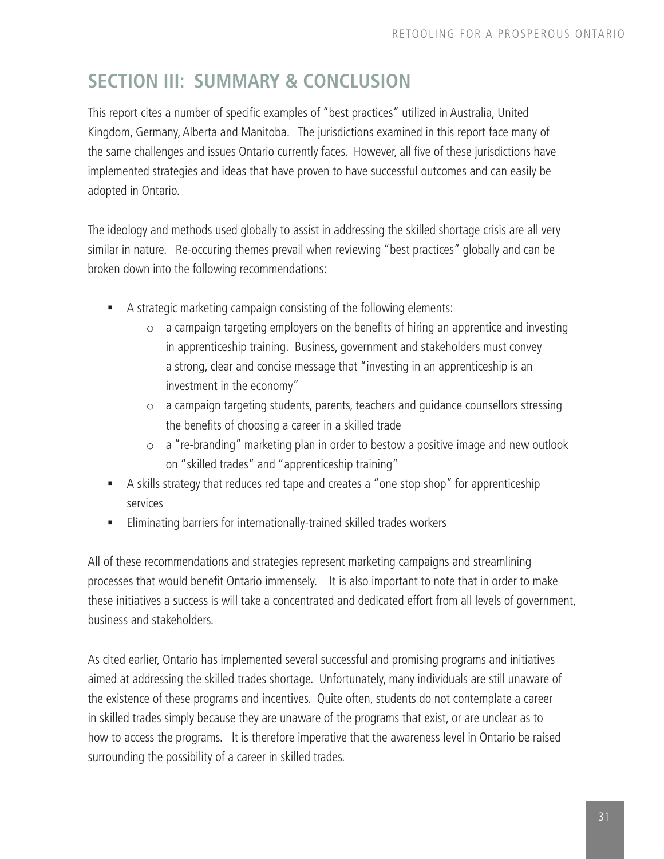### **SECTION III: SUMMARY & CONCLUSION**

This report cites a number of specific examples of "best practices" utilized in Australia, United Kingdom, Germany, Alberta and Manitoba. The jurisdictions examined in this report face many of the same challenges and issues Ontario currently faces. However, all five of these jurisdictions have implemented strategies and ideas that have proven to have successful outcomes and can easily be adopted in Ontario.

The ideology and methods used globally to assist in addressing the skilled shortage crisis are all very similar in nature. Re-occuring themes prevail when reviewing "best practices" globally and can be broken down into the following recommendations:

- A strategic marketing campaign consisting of the following elements:
	- $\circ$  a campaign targeting employers on the benefits of hiring an apprentice and investing in apprenticeship training. Business, government and stakeholders must convey a strong, clear and concise message that "investing in an apprenticeship is an investment in the economy"
	- o a campaign targeting students, parents, teachers and guidance counsellors stressing the benefits of choosing a career in a skilled trade
	- o a "re-branding" marketing plan in order to bestow a positive image and new outlook on "skilled trades" and "apprenticeship training"
- A skills strategy that reduces red tape and creates a "one stop shop" for apprenticeship services
- Eliminating barriers for internationally-trained skilled trades workers

All of these recommendations and strategies represent marketing campaigns and streamlining processes that would benefit Ontario immensely. It is also important to note that in order to make these initiatives a success is will take a concentrated and dedicated effort from all levels of government, business and stakeholders.

As cited earlier, Ontario has implemented several successful and promising programs and initiatives aimed at addressing the skilled trades shortage. Unfortunately, many individuals are still unaware of the existence of these programs and incentives. Quite often, students do not contemplate a career in skilled trades simply because they are unaware of the programs that exist, or are unclear as to how to access the programs. It is therefore imperative that the awareness level in Ontario be raised surrounding the possibility of a career in skilled trades.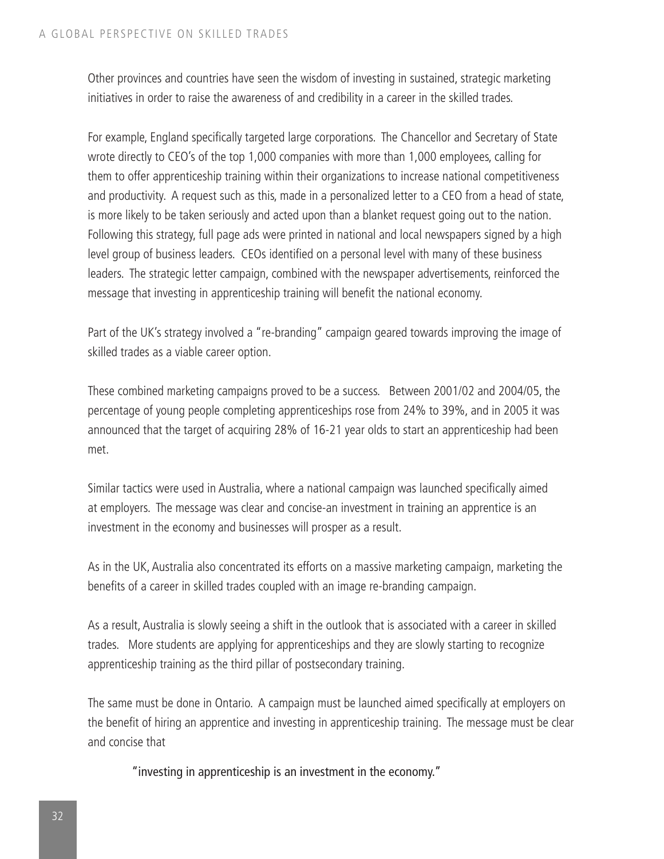Other provinces and countries have seen the wisdom of investing in sustained, strategic marketing initiatives in order to raise the awareness of and credibility in a career in the skilled trades.

For example, England specifically targeted large corporations. The Chancellor and Secretary of State wrote directly to CEO's of the top 1,000 companies with more than 1,000 employees, calling for them to offer apprenticeship training within their organizations to increase national competitiveness and productivity. A request such as this, made in a personalized letter to a CEO from a head of state, is more likely to be taken seriously and acted upon than a blanket request going out to the nation. Following this strategy, full page ads were printed in national and local newspapers signed by a high level group of business leaders. CEOs identified on a personal level with many of these business leaders. The strategic letter campaign, combined with the newspaper advertisements, reinforced the message that investing in apprenticeship training will benefit the national economy.

Part of the UK's strategy involved a "re-branding" campaign geared towards improving the image of skilled trades as a viable career option.

These combined marketing campaigns proved to be a success. Between 2001/02 and 2004/05, the percentage of young people completing apprenticeships rose from 24% to 39%, and in 2005 it was announced that the target of acquiring 28% of 16-21 year olds to start an apprenticeship had been met.

Similar tactics were used in Australia, where a national campaign was launched specifically aimed at employers. The message was clear and concise-an investment in training an apprentice is an investment in the economy and businesses will prosper as a result.

As in the UK, Australia also concentrated its efforts on a massive marketing campaign, marketing the benefits of a career in skilled trades coupled with an image re-branding campaign.

As a result, Australia is slowly seeing a shift in the outlook that is associated with a career in skilled trades. More students are applying for apprenticeships and they are slowly starting to recognize apprenticeship training as the third pillar of postsecondary training.

The same must be done in Ontario. A campaign must be launched aimed specifically at employers on the benefit of hiring an apprentice and investing in apprenticeship training. The message must be clear and concise that

"investing in apprenticeship is an investment in the economy."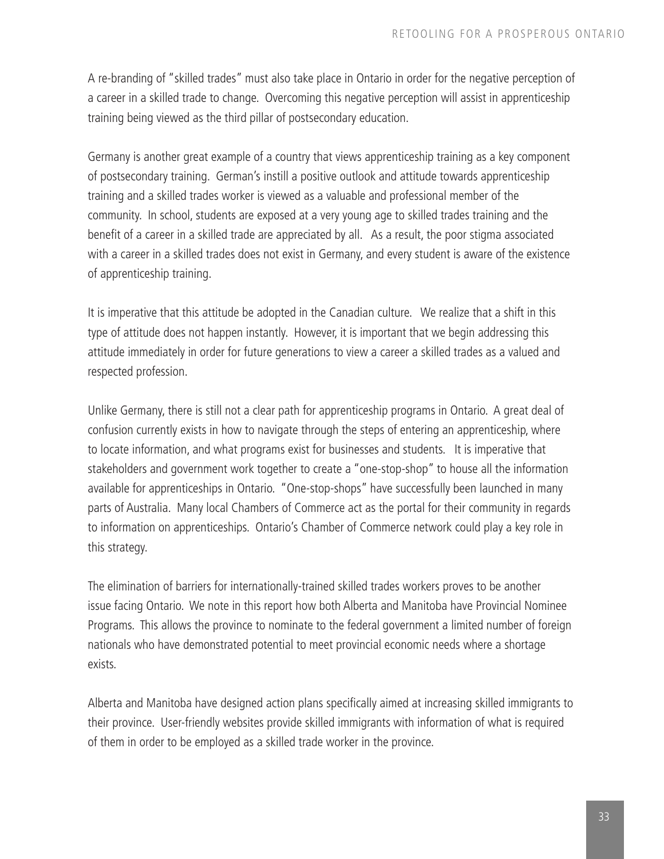A re-branding of "skilled trades" must also take place in Ontario in order for the negative perception of a career in a skilled trade to change. Overcoming this negative perception will assist in apprenticeship training being viewed as the third pillar of postsecondary education.

Germany is another great example of a country that views apprenticeship training as a key component of postsecondary training. German's instill a positive outlook and attitude towards apprenticeship training and a skilled trades worker is viewed as a valuable and professional member of the community. In school, students are exposed at a very young age to skilled trades training and the benefit of a career in a skilled trade are appreciated by all. As a result, the poor stigma associated with a career in a skilled trades does not exist in Germany, and every student is aware of the existence of apprenticeship training.

It is imperative that this attitude be adopted in the Canadian culture. We realize that a shift in this type of attitude does not happen instantly. However, it is important that we begin addressing this attitude immediately in order for future generations to view a career a skilled trades as a valued and respected profession.

Unlike Germany, there is still not a clear path for apprenticeship programs in Ontario. A great deal of confusion currently exists in how to navigate through the steps of entering an apprenticeship, where to locate information, and what programs exist for businesses and students. It is imperative that stakeholders and government work together to create a "one-stop-shop" to house all the information available for apprenticeships in Ontario. "One-stop-shops" have successfully been launched in many parts of Australia. Many local Chambers of Commerce act as the portal for their community in regards to information on apprenticeships. Ontario's Chamber of Commerce network could play a key role in this strategy.

The elimination of barriers for internationally-trained skilled trades workers proves to be another issue facing Ontario. We note in this report how both Alberta and Manitoba have Provincial Nominee Programs. This allows the province to nominate to the federal government a limited number of foreign nationals who have demonstrated potential to meet provincial economic needs where a shortage exists.

Alberta and Manitoba have designed action plans specifically aimed at increasing skilled immigrants to their province. User-friendly websites provide skilled immigrants with information of what is required of them in order to be employed as a skilled trade worker in the province.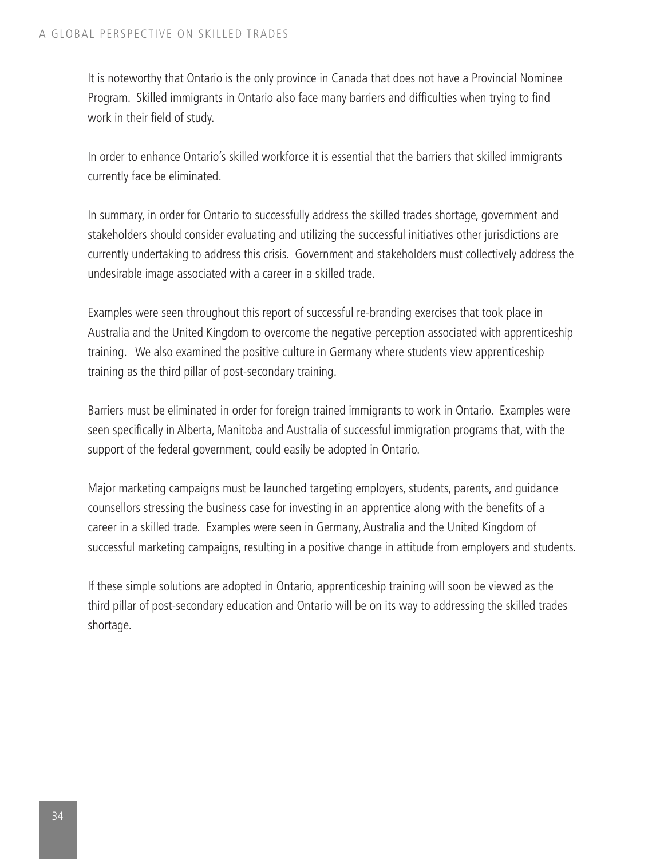It is noteworthy that Ontario is the only province in Canada that does not have a Provincial Nominee Program. Skilled immigrants in Ontario also face many barriers and difficulties when trying to find work in their field of study.

In order to enhance Ontario's skilled workforce it is essential that the barriers that skilled immigrants currently face be eliminated.

In summary, in order for Ontario to successfully address the skilled trades shortage, government and stakeholders should consider evaluating and utilizing the successful initiatives other jurisdictions are currently undertaking to address this crisis. Government and stakeholders must collectively address the undesirable image associated with a career in a skilled trade.

Examples were seen throughout this report of successful re-branding exercises that took place in Australia and the United Kingdom to overcome the negative perception associated with apprenticeship training. We also examined the positive culture in Germany where students view apprenticeship training as the third pillar of post-secondary training.

Barriers must be eliminated in order for foreign trained immigrants to work in Ontario. Examples were seen specifically in Alberta, Manitoba and Australia of successful immigration programs that, with the support of the federal government, could easily be adopted in Ontario.

Major marketing campaigns must be launched targeting employers, students, parents, and guidance counsellors stressing the business case for investing in an apprentice along with the benefits of a career in a skilled trade. Examples were seen in Germany, Australia and the United Kingdom of successful marketing campaigns, resulting in a positive change in attitude from employers and students.

If these simple solutions are adopted in Ontario, apprenticeship training will soon be viewed as the third pillar of post-secondary education and Ontario will be on its way to addressing the skilled trades shortage.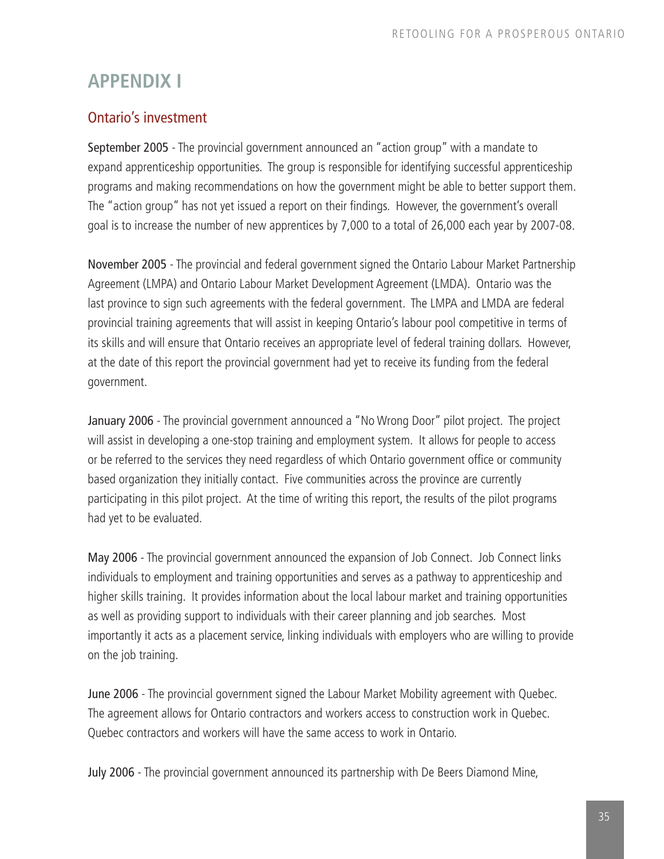### **APPENDIX I**

### Ontario's investment

September 2005 - The provincial government announced an "action group" with a mandate to expand apprenticeship opportunities. The group is responsible for identifying successful apprenticeship programs and making recommendations on how the government might be able to better support them. The "action group" has not yet issued a report on their findings. However, the government's overall goal is to increase the number of new apprentices by 7,000 to a total of 26,000 each year by 2007-08.

November 2005 - The provincial and federal government signed the Ontario Labour Market Partnership Agreement (LMPA) and Ontario Labour Market Development Agreement (LMDA). Ontario was the last province to sign such agreements with the federal government. The LMPA and LMDA are federal provincial training agreements that will assist in keeping Ontario's labour pool competitive in terms of its skills and will ensure that Ontario receives an appropriate level of federal training dollars. However, at the date of this report the provincial government had yet to receive its funding from the federal government.

January 2006 - The provincial government announced a "No Wrong Door" pilot project. The project will assist in developing a one-stop training and employment system. It allows for people to access or be referred to the services they need regardless of which Ontario government office or community based organization they initially contact. Five communities across the province are currently participating in this pilot project. At the time of writing this report, the results of the pilot programs had yet to be evaluated.

May 2006 - The provincial government announced the expansion of Job Connect. Job Connect links individuals to employment and training opportunities and serves as a pathway to apprenticeship and higher skills training. It provides information about the local labour market and training opportunities as well as providing support to individuals with their career planning and job searches. Most importantly it acts as a placement service, linking individuals with employers who are willing to provide on the job training.

June 2006 - The provincial government signed the Labour Market Mobility agreement with Quebec. The agreement allows for Ontario contractors and workers access to construction work in Quebec. Quebec contractors and workers will have the same access to work in Ontario.

July 2006 - The provincial government announced its partnership with De Beers Diamond Mine,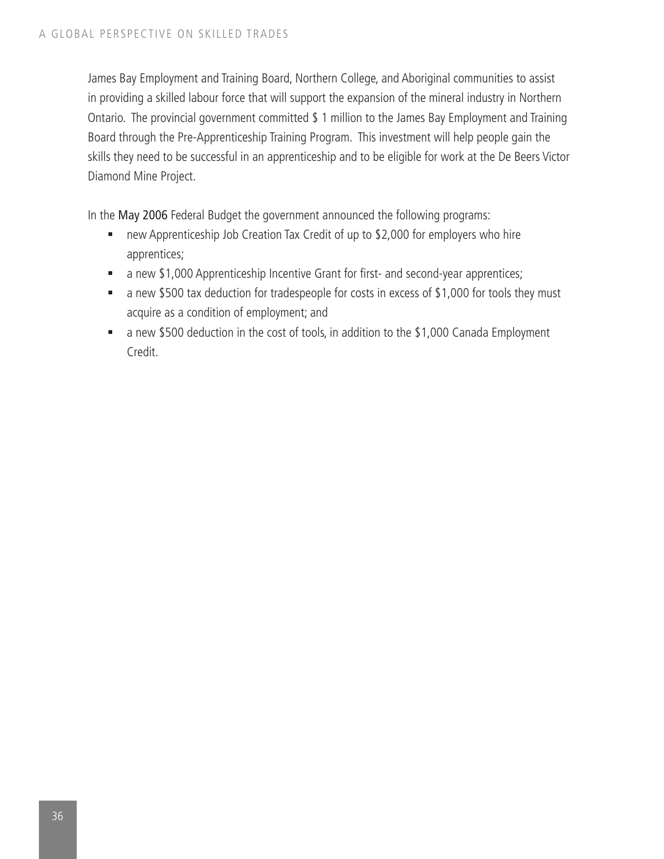James Bay Employment and Training Board, Northern College, and Aboriginal communities to assist in providing a skilled labour force that will support the expansion of the mineral industry in Northern Ontario. The provincial government committed \$ 1 million to the James Bay Employment and Training Board through the Pre-Apprenticeship Training Program. This investment will help people gain the skills they need to be successful in an apprenticeship and to be eligible for work at the De Beers Victor Diamond Mine Project.

In the May 2006 Federal Budget the government announced the following programs:

- new Apprenticeship Job Creation Tax Credit of up to \$2,000 for employers who hire apprentices;
- a new \$1,000 Apprenticeship Incentive Grant for first- and second-year apprentices;
- a new \$500 tax deduction for tradespeople for costs in excess of \$1,000 for tools they must acquire as a condition of employment; and
- a new \$500 deduction in the cost of tools, in addition to the \$1,000 Canada Employment Credit.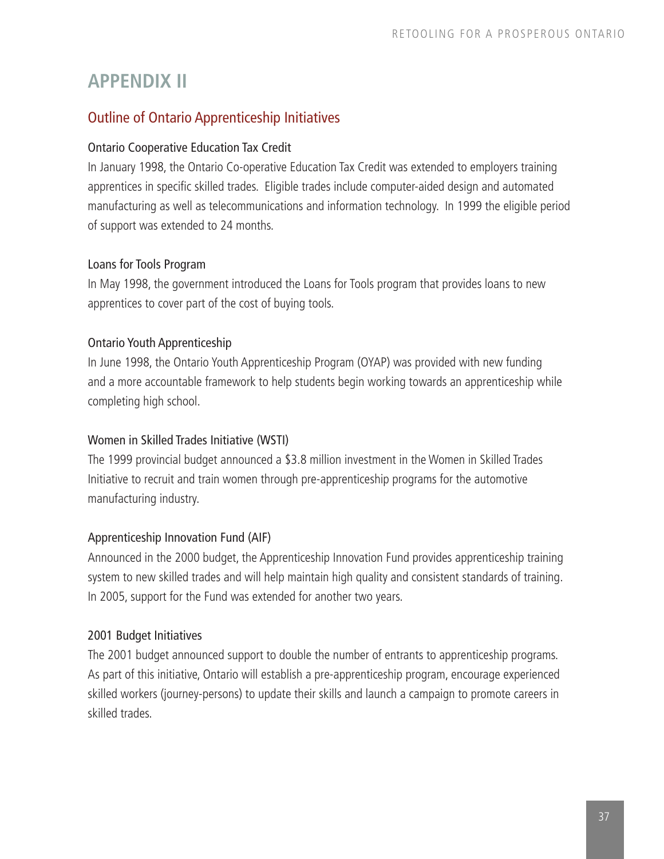### **APPENDIX II**

### Outline of Ontario Apprenticeship Initiatives

### Ontario Cooperative Education Tax Credit

In January 1998, the Ontario Co-operative Education Tax Credit was extended to employers training apprentices in specific skilled trades. Eligible trades include computer-aided design and automated manufacturing as well as telecommunications and information technology. In 1999 the eligible period of support was extended to 24 months.

### Loans for Tools Program

In May 1998, the government introduced the Loans for Tools program that provides loans to new apprentices to cover part of the cost of buying tools.

### Ontario Youth Apprenticeship

In June 1998, the Ontario Youth Apprenticeship Program (OYAP) was provided with new funding and a more accountable framework to help students begin working towards an apprenticeship while completing high school.

### Women in Skilled Trades Initiative (WSTI)

The 1999 provincial budget announced a \$3.8 million investment in the Women in Skilled Trades Initiative to recruit and train women through pre-apprenticeship programs for the automotive manufacturing industry.

### Apprenticeship Innovation Fund (AIF)

Announced in the 2000 budget, the Apprenticeship Innovation Fund provides apprenticeship training system to new skilled trades and will help maintain high quality and consistent standards of training. In 2005, support for the Fund was extended for another two years.

### 2001 Budget Initiatives

The 2001 budget announced support to double the number of entrants to apprenticeship programs. As part of this initiative, Ontario will establish a pre-apprenticeship program, encourage experienced skilled workers (journey-persons) to update their skills and launch a campaign to promote careers in skilled trades.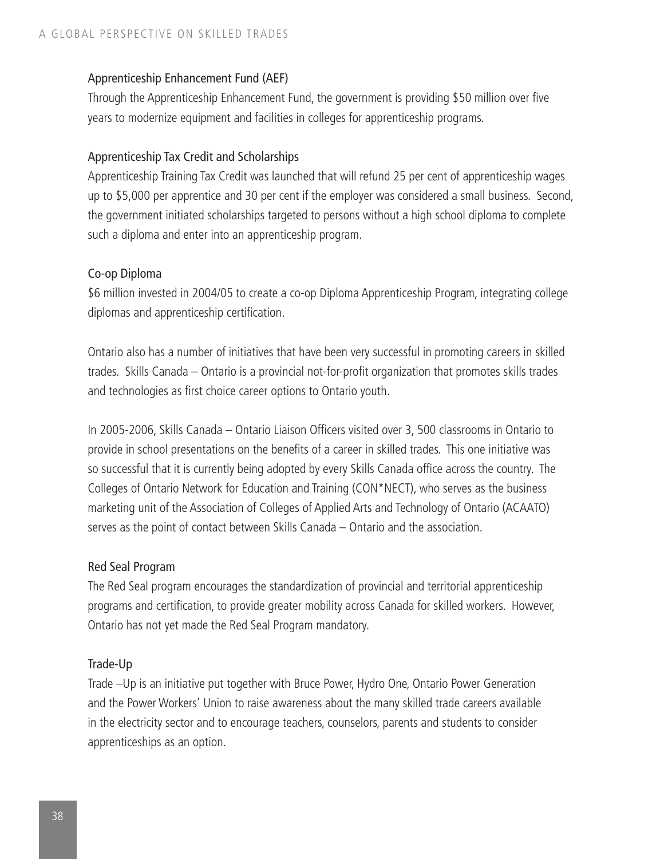#### Apprenticeship Enhancement Fund (AEF)

Through the Apprenticeship Enhancement Fund, the government is providing \$50 million over five years to modernize equipment and facilities in colleges for apprenticeship programs.

#### Apprenticeship Tax Credit and Scholarships

Apprenticeship Training Tax Credit was launched that will refund 25 per cent of apprenticeship wages up to \$5,000 per apprentice and 30 per cent if the employer was considered a small business. Second, the government initiated scholarships targeted to persons without a high school diploma to complete such a diploma and enter into an apprenticeship program.

#### Co-op Diploma

\$6 million invested in 2004/05 to create a co-op Diploma Apprenticeship Program, integrating college diplomas and apprenticeship certification.

Ontario also has a number of initiatives that have been very successful in promoting careers in skilled trades. Skills Canada – Ontario is a provincial not-for-profit organization that promotes skills trades and technologies as first choice career options to Ontario youth.

In 2005-2006, Skills Canada – Ontario Liaison Officers visited over 3, 500 classrooms in Ontario to provide in school presentations on the benefits of a career in skilled trades. This one initiative was so successful that it is currently being adopted by every Skills Canada office across the country. The Colleges of Ontario Network for Education and Training (CON\*NECT), who serves as the business marketing unit of the Association of Colleges of Applied Arts and Technology of Ontario (ACAATO) serves as the point of contact between Skills Canada – Ontario and the association.

#### Red Seal Program

The Red Seal program encourages the standardization of provincial and territorial apprenticeship programs and certification, to provide greater mobility across Canada for skilled workers. However, Ontario has not yet made the Red Seal Program mandatory.

#### Trade-Up

Trade –Up is an initiative put together with Bruce Power, Hydro One, Ontario Power Generation and the Power Workers' Union to raise awareness about the many skilled trade careers available in the electricity sector and to encourage teachers, counselors, parents and students to consider apprenticeships as an option.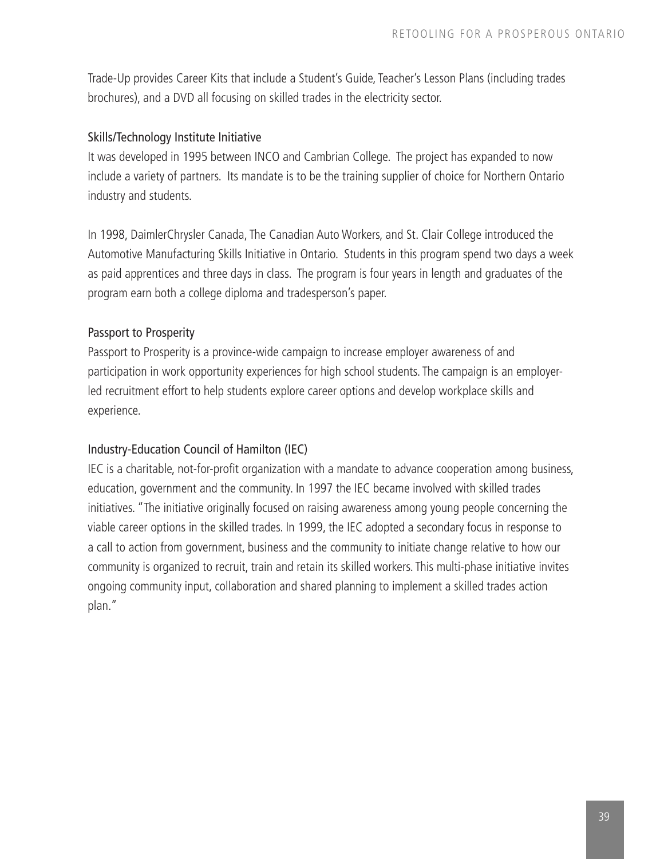Trade-Up provides Career Kits that include a Student's Guide, Teacher's Lesson Plans (including trades brochures), and a DVD all focusing on skilled trades in the electricity sector.

### Skills/Technology Institute Initiative

It was developed in 1995 between INCO and Cambrian College. The project has expanded to now include a variety of partners. Its mandate is to be the training supplier of choice for Northern Ontario industry and students.

In 1998, DaimlerChrysler Canada, The Canadian Auto Workers, and St. Clair College introduced the Automotive Manufacturing Skills Initiative in Ontario. Students in this program spend two days a week as paid apprentices and three days in class. The program is four years in length and graduates of the program earn both a college diploma and tradesperson's paper.

#### Passport to Prosperity

Passport to Prosperity is a province-wide campaign to increase employer awareness of and participation in work opportunity experiences for high school students. The campaign is an employerled recruitment effort to help students explore career options and develop workplace skills and experience.

#### Industry-Education Council of Hamilton (IEC)

IEC is a charitable, not-for-profit organization with a mandate to advance cooperation among business, education, government and the community. In 1997 the IEC became involved with skilled trades initiatives. "The initiative originally focused on raising awareness among young people concerning the viable career options in the skilled trades. In 1999, the IEC adopted a secondary focus in response to a call to action from government, business and the community to initiate change relative to how our community is organized to recruit, train and retain its skilled workers. This multi-phase initiative invites ongoing community input, collaboration and shared planning to implement a skilled trades action plan."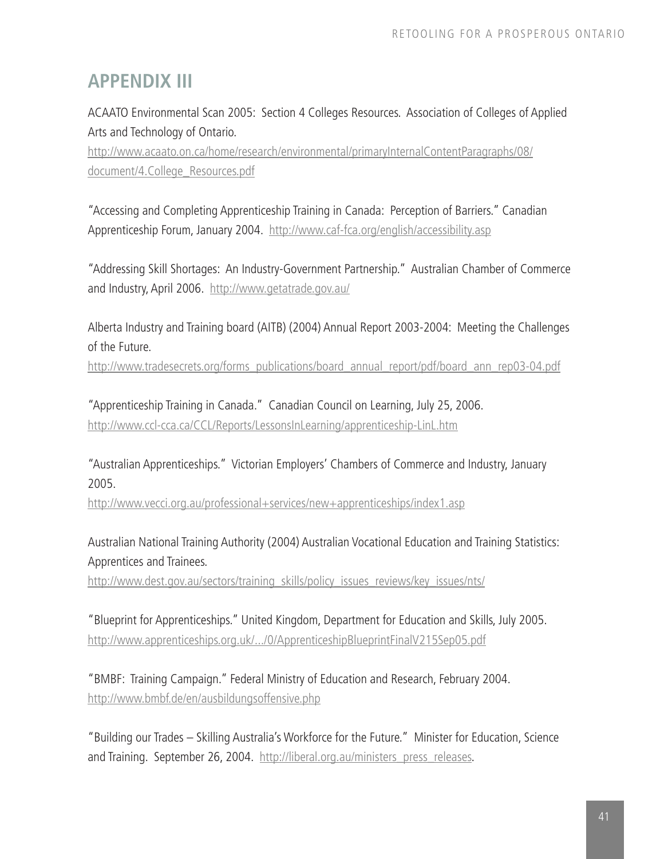### **APPENDIX III**

ACAATO Environmental Scan 2005: Section 4 Colleges Resources. Association of Colleges of Applied Arts and Technology of Ontario.

http://www.acaato.on.ca/home/research/environmental/primaryInternalContentParagraphs/08/ document/4.College\_Resources.pdf

"Accessing and Completing Apprenticeship Training in Canada: Perception of Barriers." Canadian Apprenticeship Forum, January 2004. http://www.caf-fca.org/english/accessibility.asp

"Addressing Skill Shortages: An Industry-Government Partnership." Australian Chamber of Commerce and Industry, April 2006. http://www.getatrade.gov.au/

Alberta Industry and Training board (AITB) (2004) Annual Report 2003-2004: Meeting the Challenges of the Future.

http://www.tradesecrets.org/forms\_publications/board\_annual\_report/pdf/board\_ann\_rep03-04.pdf

"Apprenticeship Training in Canada." Canadian Council on Learning, July 25, 2006. http://www.ccl-cca.ca/CCL/Reports/LessonsInLearning/apprenticeship-LinL.htm

"Australian Apprenticeships." Victorian Employers' Chambers of Commerce and Industry, January 2005.

http://www.vecci.org.au/professional+services/new+apprenticeships/index1.asp

Australian National Training Authority (2004) Australian Vocational Education and Training Statistics: Apprentices and Trainees.

http://www.dest.gov.au/sectors/training\_skills/policy\_issues\_reviews/key\_issues/nts/

"Blueprint for Apprenticeships." United Kingdom, Department for Education and Skills, July 2005. http://www.apprenticeships.org.uk/.../0/ApprenticeshipBlueprintFinalV215Sep05.pdf

"BMBF: Training Campaign." Federal Ministry of Education and Research, February 2004. http://www.bmbf.de/en/ausbildungsoffensive.php

"Building our Trades – Skilling Australia's Workforce for the Future." Minister for Education, Science and Training. September 26, 2004. http://liberal.org.au/ministers\_press\_releases.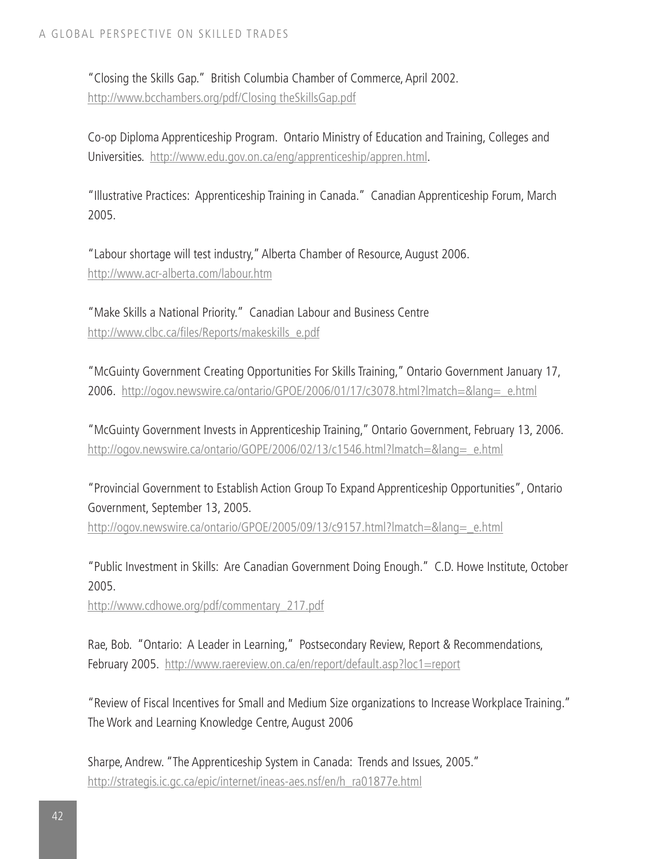"Closing the Skills Gap." British Columbia Chamber of Commerce, April 2002. http://www.bcchambers.org/pdf/Closing theSkillsGap.pdf

Co-op Diploma Apprenticeship Program. Ontario Ministry of Education and Training, Colleges and Universities. http://www.edu.gov.on.ca/eng/apprenticeship/appren.html.

"Illustrative Practices: Apprenticeship Training in Canada." Canadian Apprenticeship Forum, March 2005.

"Labour shortage will test industry," Alberta Chamber of Resource, August 2006. http://www.acr-alberta.com/labour.htm

"Make Skills a National Priority." Canadian Labour and Business Centre http://www.clbc.ca/files/Reports/makeskills\_e.pdf

"McGuinty Government Creating Opportunities For Skills Training," Ontario Government January 17, 2006. http://ogov.newswire.ca/ontario/GPOE/2006/01/17/c3078.html?lmatch=&lang=\_e.html

"McGuinty Government Invests in Apprenticeship Training," Ontario Government, February 13, 2006. http://ogov.newswire.ca/ontario/GOPE/2006/02/13/c1546.html?lmatch=&lang=\_e.html

"Provincial Government to Establish Action Group To Expand Apprenticeship Opportunities", Ontario Government, September 13, 2005.

http://ogov.newswire.ca/ontario/GPOE/2005/09/13/c9157.html?lmatch=&lang=\_e.html

"Public Investment in Skills: Are Canadian Government Doing Enough." C.D. Howe Institute, October 2005.

http://www.cdhowe.org/pdf/commentary\_217.pdf

Rae, Bob. "Ontario: A Leader in Learning," Postsecondary Review, Report & Recommendations, February 2005. http://www.raereview.on.ca/en/report/default.asp?loc1=report

"Review of Fiscal Incentives for Small and Medium Size organizations to Increase Workplace Training." The Work and Learning Knowledge Centre, August 2006

Sharpe, Andrew. "The Apprenticeship System in Canada: Trends and Issues, 2005." http://strategis.ic.gc.ca/epic/internet/ineas-aes.nsf/en/h\_ra01877e.html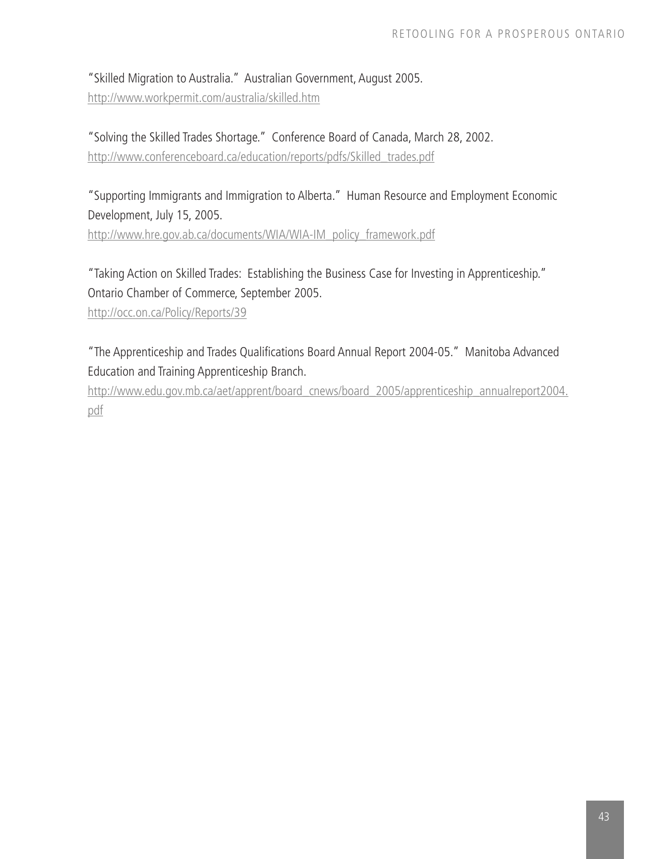"Skilled Migration to Australia." Australian Government, August 2005. http://www.workpermit.com/australia/skilled.htm

"Solving the Skilled Trades Shortage." Conference Board of Canada, March 28, 2002. http://www.conferenceboard.ca/education/reports/pdfs/Skilled\_trades.pdf

"Supporting Immigrants and Immigration to Alberta." Human Resource and Employment Economic Development, July 15, 2005. http://www.hre.gov.ab.ca/documents/WIA/WIA-IM\_policy\_framework.pdf

"Taking Action on Skilled Trades: Establishing the Business Case for Investing in Apprenticeship." Ontario Chamber of Commerce, September 2005.

http://occ.on.ca/Policy/Reports/39

"The Apprenticeship and Trades Qualifications Board Annual Report 2004-05." Manitoba Advanced Education and Training Apprenticeship Branch.

http://www.edu.gov.mb.ca/aet/apprent/board\_cnews/board\_2005/apprenticeship\_annualreport2004. pdf